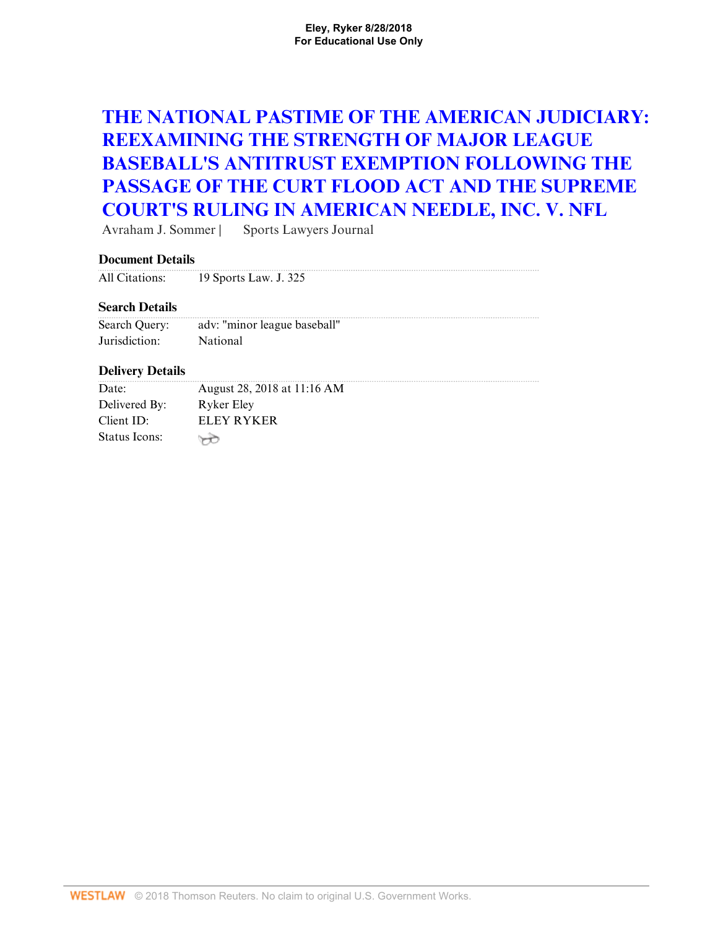# **[THE NATIONAL PASTIME OF THE AMERICAN JUDICIARY:](http://www.westlaw.com/Document/Ia578475082da11e18b05fdf15589d8e8/View/FullText.html?originationContext=docHeader&rs=cblt1.0&vr=3.0&contextData=(sc.Search)&transitionType=Document&needToInjectTerms=False) [REEXAMINING THE STRENGTH OF MAJOR LEAGUE](http://www.westlaw.com/Document/Ia578475082da11e18b05fdf15589d8e8/View/FullText.html?originationContext=docHeader&rs=cblt1.0&vr=3.0&contextData=(sc.Search)&transitionType=Document&needToInjectTerms=False) [BASEBALL'S ANTITRUST EXEMPTION FOLLOWING THE](http://www.westlaw.com/Document/Ia578475082da11e18b05fdf15589d8e8/View/FullText.html?originationContext=docHeader&rs=cblt1.0&vr=3.0&contextData=(sc.Search)&transitionType=Document&needToInjectTerms=False) [PASSAGE OF THE CURT FLOOD ACT AND THE SUPREME](http://www.westlaw.com/Document/Ia578475082da11e18b05fdf15589d8e8/View/FullText.html?originationContext=docHeader&rs=cblt1.0&vr=3.0&contextData=(sc.Search)&transitionType=Document&needToInjectTerms=False) [COURT'S RULING IN AMERICAN NEEDLE, INC. V. NFL](http://www.westlaw.com/Document/Ia578475082da11e18b05fdf15589d8e8/View/FullText.html?originationContext=docHeader&rs=cblt1.0&vr=3.0&contextData=(sc.Search)&transitionType=Document&needToInjectTerms=False)**

Avraham J. Sommer | Sports Lawyers Journal

# **Document Details**

| All Citations: | 19 Sports Law. J. 325 |
|----------------|-----------------------|

# **Search Details**

| Search Query: | adv: "minor league baseball" |
|---------------|------------------------------|
| Jurisdiction: | National                     |

# **Delivery Details**

| Date:         | August 28, 2018 at 11:16 AM |
|---------------|-----------------------------|
| Delivered By: | Ryker Eley                  |
| Client ID:    | ELEY RYKER                  |
| Status Icons: |                             |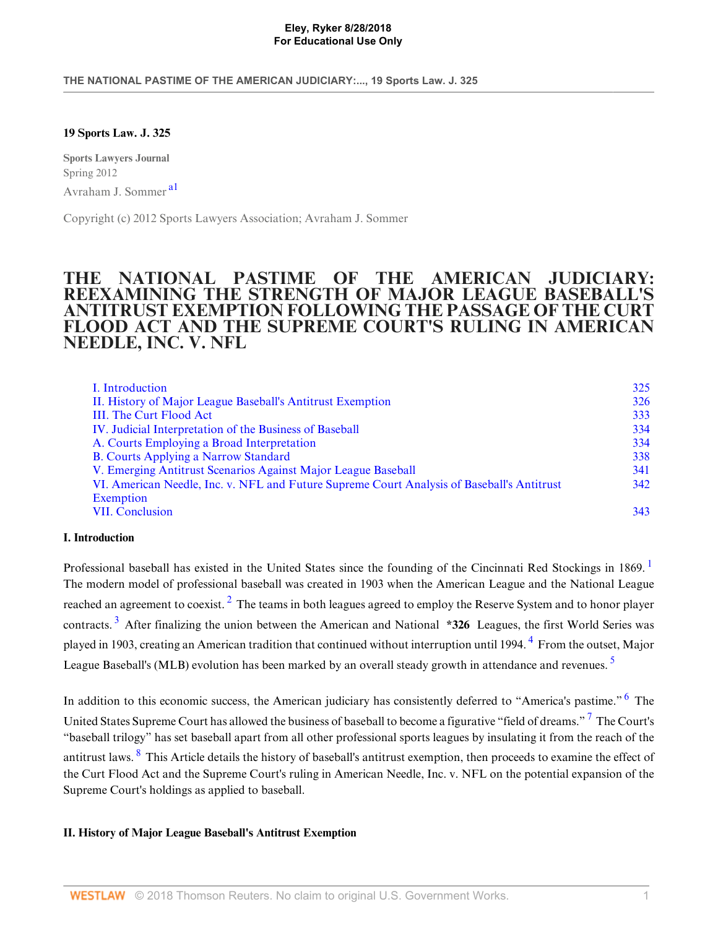**THE NATIONAL PASTIME OF THE AMERICAN JUDICIARY:..., 19 Sports Law. J. 325**

# **19 Sports Law. J. 325**

<span id="page-1-2"></span>**Sports Lawyers Journal** Spring 2012 Avraham J. Sommer [a1](#page-10-0)

Copyright (c) 2012 Sports Lawyers Association; Avraham J. Sommer

# **THE NATIONAL PASTIME OF THE AMERICAN JUDICIARY: REEXAMINING THE STRENGTH OF MAJOR LEAGUE BASEBALL'S ANTITRUST EXEMPTION FOLLOWING THE PASSAGE OF THE CURT FLOOD ACT AND THE SUPREME COURT'S RULING IN AMERICAN NEEDLE, INC. V. NFL**

<span id="page-1-3"></span>

| I. Introduction                                                                            | 325 |
|--------------------------------------------------------------------------------------------|-----|
| II. History of Major League Baseball's Antitrust Exemption                                 | 326 |
| III. The Curt Flood Act                                                                    | 333 |
| IV. Judicial Interpretation of the Business of Baseball                                    | 334 |
| A. Courts Employing a Broad Interpretation                                                 | 334 |
| <b>B.</b> Courts Applying a Narrow Standard                                                | 338 |
| V. Emerging Antitrust Scenarios Against Major League Baseball                              | 341 |
| VI. American Needle, Inc. v. NFL and Future Supreme Court Analysis of Baseball's Antitrust | 342 |
| Exemption                                                                                  |     |
| <b>VII. Conclusion</b>                                                                     | 343 |

# <span id="page-1-0"></span>**I. Introduction**

<span id="page-1-5"></span><span id="page-1-4"></span>Professional baseball has existed in the United States since the founding of the Cincinnati Red Stockings in [1](#page-10-2)869. The modern model of professional baseball was created in 1903 when the American League and the National League reached an agreement to coexist.  $^2$  $^2$  The teams in both leagues agreed to employ the Reserve System and to honor player contracts. [3](#page-10-4) After finalizing the union between the American and National **\*326** Leagues, the first World Series was played in 1903, creating an American tradition that continued without interruption until 199[4](#page-11-0). <sup>4</sup> From the outset, Major League Baseball's (MLB) evolution has been marked by an overall steady growth in attendance and revenues.<sup>[5](#page-11-1)</sup>

<span id="page-1-10"></span><span id="page-1-9"></span><span id="page-1-8"></span><span id="page-1-7"></span><span id="page-1-6"></span>In addition to this economic success, the American judiciary has consistently deferred to "America's pastime." <sup>[6](#page-11-2)</sup> The United States Supreme Court has allowed the business of baseball to become a figurative "field of dreams."<sup>[7](#page-11-3)</sup> The Court's "baseball trilogy" has set baseball apart from all other professional sports leagues by insulating it from the reach of the antitrust laws. <sup>[8](#page-11-4)</sup> This Article details the history of baseball's antitrust exemption, then proceeds to examine the effect of the Curt Flood Act and the Supreme Court's ruling in American Needle, Inc. v. NFL on the potential expansion of the Supreme Court's holdings as applied to baseball.

# <span id="page-1-1"></span>**II. History of Major League Baseball's Antitrust Exemption**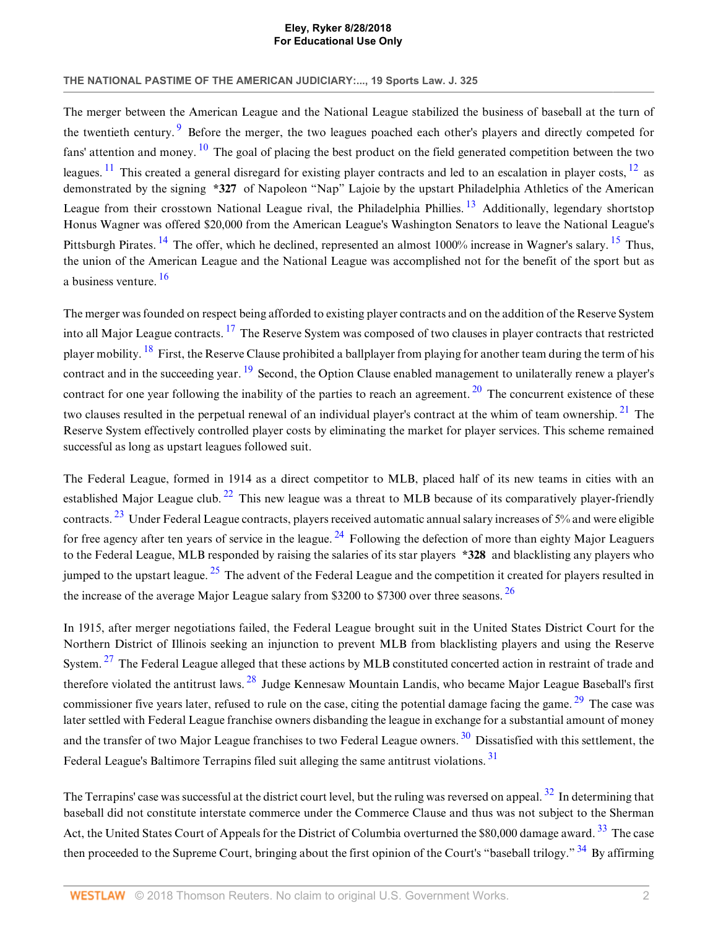### **THE NATIONAL PASTIME OF THE AMERICAN JUDICIARY:..., 19 Sports Law. J. 325**

<span id="page-2-4"></span><span id="page-2-3"></span><span id="page-2-2"></span><span id="page-2-1"></span><span id="page-2-0"></span>The merger between the American League and the National League stabilized the business of baseball at the turn of the twentieth century.<sup>[9](#page-11-5)</sup> Before the merger, the two leagues poached each other's players and directly competed for fans' attention and money.  $\frac{10}{10}$  $\frac{10}{10}$  $\frac{10}{10}$  The goal of placing the best product on the field generated competition between the two leagues. <sup>[11](#page-11-7)</sup> This created a general disregard for existing player contracts and led to an escalation in player costs,  $^{12}$  $^{12}$  $^{12}$  as demonstrated by the signing **\*327** of Napoleon "Nap" Lajoie by the upstart Philadelphia Athletics of the American League from their crosstown National League rival, the Philadelphia Phillies.<sup>[13](#page-11-9)</sup> Additionally, legendary shortstop Honus Wagner was offered \$20,000 from the American League's Washington Senators to leave the National League's Pittsburgh Pirates. <sup>[14](#page-11-10)</sup> The offer, which he declined, represented an almost 1000% increase in Wagner's salary. <sup>[15](#page-11-11)</sup> Thus, the union of the American League and the National League was accomplished not for the benefit of the sport but as a business venture. [16](#page-11-12)

<span id="page-2-11"></span><span id="page-2-10"></span><span id="page-2-9"></span><span id="page-2-8"></span><span id="page-2-7"></span><span id="page-2-6"></span><span id="page-2-5"></span>The merger was founded on respect being afforded to existing player contracts and on the addition of the Reserve System into all Major League contracts. <sup>[17](#page-11-13)</sup> The Reserve System was composed of two clauses in player contracts that restricted player mobility. [18](#page-11-14) First, the Reserve Clause prohibited a ballplayer from playing for another team during the term of his contract and in the succeeding year. <sup>[19](#page-11-15)</sup> Second, the Option Clause enabled management to unilaterally renew a player's contract for one year following the inability of the parties to reach an agreement.  $20$  The concurrent existence of these two clauses resulted in the perpetual renewal of an individual player's contract at the whim of team ownership.  $2<sup>1</sup>$  The Reserve System effectively controlled player costs by eliminating the market for player services. This scheme remained successful as long as upstart leagues followed suit.

<span id="page-2-15"></span><span id="page-2-14"></span><span id="page-2-13"></span><span id="page-2-12"></span>The Federal League, formed in 1914 as a direct competitor to MLB, placed half of its new teams in cities with an established Major League club.  $^{22}$  $^{22}$  $^{22}$  This new league was a threat to MLB because of its comparatively player-friendly contracts. [23](#page-11-19) Under Federal League contracts, players received automatic annual salary increases of 5% and were eligible for free agency after ten years of service in the league.  $^{24}$  $^{24}$  $^{24}$  Following the defection of more than eighty Major Leaguers to the Federal League, MLB responded by raising the salaries of its star players **\*328** and blacklisting any players who iumped to the upstart league.  $^{25}$  $^{25}$  $^{25}$  The advent of the Federal League and the competition it created for players resulted in the increase of the average Major League salary from \$3200 to \$7300 over three seasons. [26](#page-11-22)

<span id="page-2-20"></span><span id="page-2-19"></span><span id="page-2-18"></span><span id="page-2-17"></span><span id="page-2-16"></span>In 1915, after merger negotiations failed, the Federal League brought suit in the United States District Court for the Northern District of Illinois seeking an injunction to prevent MLB from blacklisting players and using the Reserve System.<sup>[27](#page-12-0)</sup> The Federal League alleged that these actions by MLB constituted concerted action in restraint of trade and therefore violated the antitrust laws. <sup>[28](#page-12-1)</sup> Judge Kennesaw Mountain Landis, who became Major League Baseball's first commissioner five years later, refused to rule on the case, citing the potential damage facing the game.<sup>[29](#page-12-2)</sup> The case was later settled with Federal League franchise owners disbanding the league in exchange for a substantial amount of money and the transfer of two Major League franchises to two Federal League owners.<sup>[30](#page-12-3)</sup> Dissatisfied with this settlement, the Federal League's Baltimore Terrapins filed suit alleging the same antitrust violations.<sup>[31](#page-12-4)</sup>

<span id="page-2-25"></span><span id="page-2-24"></span><span id="page-2-23"></span><span id="page-2-22"></span><span id="page-2-21"></span>The Terrapins' case was successful at the district court level, but the ruling was reversed on appeal.  $32$  In determining that baseball did not constitute interstate commerce under the Commerce Clause and thus was not subject to the Sherman Act, the United States Court of Appeals for the District of Columbia overturned the \$80,000 damage award. <sup>[33](#page-12-6)</sup> The case then proceeded to the Supreme Court, bringing about the first opinion of the Court's "baseball trilogy."  $34$  By affirming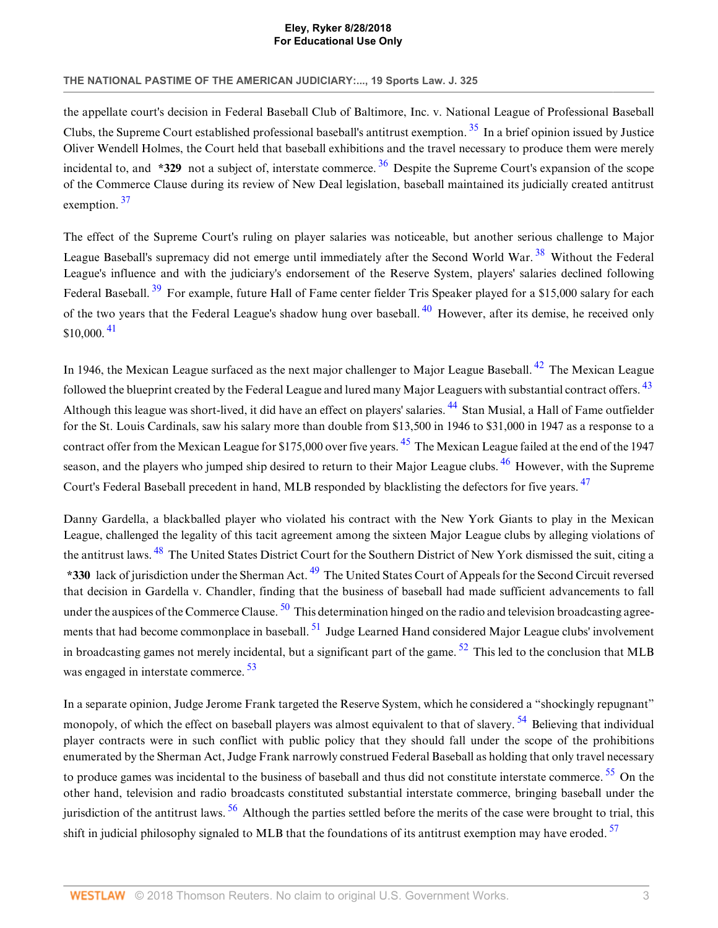# **THE NATIONAL PASTIME OF THE AMERICAN JUDICIARY:..., 19 Sports Law. J. 325**

<span id="page-3-1"></span><span id="page-3-0"></span>the appellate court's decision in Federal Baseball Club of Baltimore, Inc. v. National League of Professional Baseball Clubs, the Supreme Court established professional baseball's antitrust exemption. [35](#page-12-8) In a brief opinion issued by Justice Oliver Wendell Holmes, the Court held that baseball exhibitions and the travel necessary to produce them were merely incidental to, and **\*329** not a subject of, interstate commerce. <sup>[36](#page-12-9)</sup> Despite the Supreme Court's expansion of the scope of the Commerce Clause during its review of New Deal legislation, baseball maintained its judicially created antitrust exemption.<sup>[37](#page-12-10)</sup>

<span id="page-3-4"></span><span id="page-3-3"></span><span id="page-3-2"></span>The effect of the Supreme Court's ruling on player salaries was noticeable, but another serious challenge to Major League Baseball's supremacy did not emerge until immediately after the Second World War.<sup>[38](#page-12-11)</sup> Without the Federal League's influence and with the judiciary's endorsement of the Reserve System, players' salaries declined following Federal Baseball.<sup>[39](#page-12-12)</sup> For example, future Hall of Fame center fielder Tris Speaker played for a \$15,000 salary for each of the two years that the Federal League's shadow hung over baseball. <sup>[40](#page-12-13)</sup> However, after its demise, he received only \$10,000. [41](#page-12-14)

<span id="page-3-10"></span><span id="page-3-9"></span><span id="page-3-8"></span><span id="page-3-7"></span><span id="page-3-6"></span><span id="page-3-5"></span>In 1946, the Mexican League surfaced as the next major challenger to Major League Baseball.  $42$  The Mexican League followed the blueprint created by the Federal League and lured many Major Leaguers with substantial contract offers. <sup>[43](#page-12-16)</sup> Although this league was short-lived, it did have an effect on players' salaries. <sup>[44](#page-12-17)</sup> Stan Musial, a Hall of Fame outfielder for the St. Louis Cardinals, saw his salary more than double from \$13,500 in 1946 to \$31,000 in 1947 as a response to a contract offer from the Mexican League for \$175,000 over five years. <sup>[45](#page-12-18)</sup> The Mexican League failed at the end of the 1947 season, and the players who jumped ship desired to return to their Major League clubs. <sup>[46](#page-12-19)</sup> However, with the Supreme Court's Federal Baseball precedent in hand. MLB responded by blacklisting the defectors for five years. <sup>[47](#page-12-20)</sup>

<span id="page-3-15"></span><span id="page-3-14"></span><span id="page-3-13"></span><span id="page-3-12"></span><span id="page-3-11"></span>Danny Gardella, a blackballed player who violated his contract with the New York Giants to play in the Mexican League, challenged the legality of this tacit agreement among the sixteen Major League clubs by alleging violations of the antitrust laws. <sup>[48](#page-12-21)</sup> The United States District Court for the Southern District of New York dismissed the suit, citing a **\*330** lack of jurisdiction under the Sherman Act. [49](#page-12-22) The United States Court of Appeals for the Second Circuit reversed that decision in Gardella v. Chandler, finding that the business of baseball had made sufficient advancements to fall under the auspices of the Commerce Clause. <sup>[50](#page-12-23)</sup> This determination hinged on the radio and television broadcasting agree-ments that had become commonplace in baseball.<sup>[51](#page-12-24)</sup> Judge Learned Hand considered Major League clubs' involvement in broadcasting games not merely incidental, but a significant part of the game.  $52$  This led to the conclusion that MLB was engaged in interstate commerce.<sup>[53](#page-12-26)</sup>

<span id="page-3-22"></span><span id="page-3-21"></span><span id="page-3-20"></span><span id="page-3-19"></span><span id="page-3-18"></span><span id="page-3-17"></span><span id="page-3-16"></span>In a separate opinion, Judge Jerome Frank targeted the Reserve System, which he considered a "shockingly repugnant" monopoly, of which the effect on baseball players was almost equivalent to that of slavery. <sup>[54](#page-12-27)</sup> Believing that individual player contracts were in such conflict with public policy that they should fall under the scope of the prohibitions enumerated by the Sherman Act, Judge Frank narrowly construed Federal Baseball as holding that only travel necessary to produce games was incidental to the business of baseball and thus did not constitute interstate commerce.  $55$  On the other hand, television and radio broadcasts constituted substantial interstate commerce, bringing baseball under the jurisdiction of the antitrust laws.  $56$  Although the parties settled before the merits of the case were brought to trial, this shift in judicial philosophy signaled to MLB that the foundations of its antitrust exemption may have eroded.<sup>[57](#page-13-2)</sup>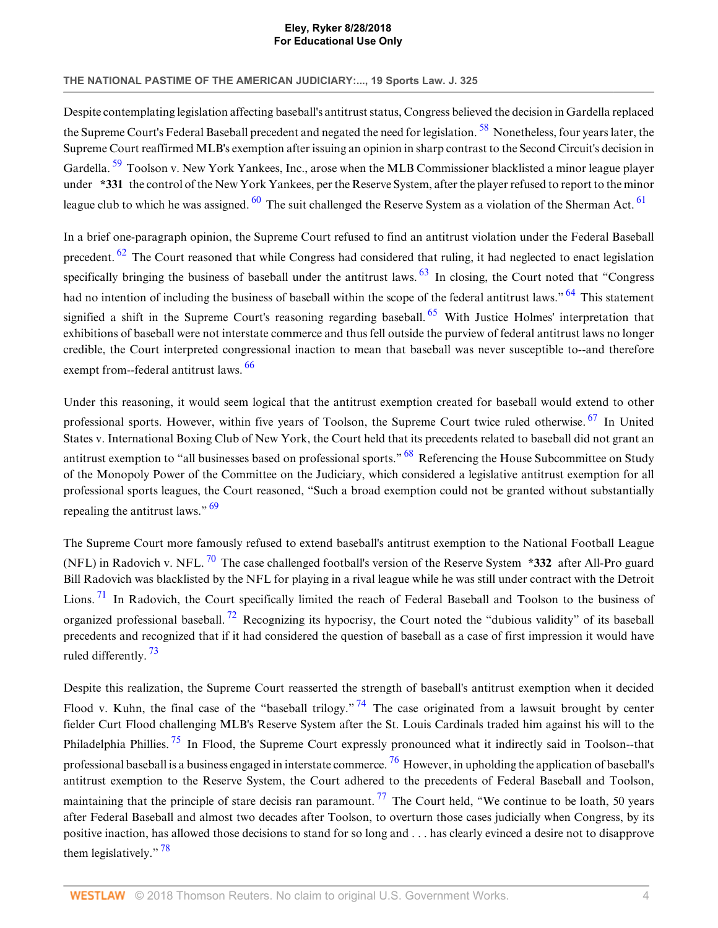### **THE NATIONAL PASTIME OF THE AMERICAN JUDICIARY:..., 19 Sports Law. J. 325**

<span id="page-4-1"></span><span id="page-4-0"></span>Despite contemplating legislation affecting baseball's antitrust status, Congress believed the decision in Gardella replaced the Supreme Court's Federal Baseball precedent and negated the need for legislation.<sup>[58](#page-13-3)</sup> Nonetheless, four years later, the Supreme Court reaffirmed MLB's exemption after issuing an opinion in sharp contrast to the Second Circuit's decision in Gardella. <sup>[59](#page-13-4)</sup> Toolson v. New York Yankees, Inc., arose when the MLB Commissioner blacklisted a minor league player under **\*331** the control of the New York Yankees, per the Reserve System, after the player refused to report to the minor league club to which he was assigned.  $60$  The suit challenged the Reserve System as a violation of the Sherman Act.  $61$ 

<span id="page-4-7"></span><span id="page-4-6"></span><span id="page-4-5"></span><span id="page-4-4"></span><span id="page-4-3"></span><span id="page-4-2"></span>In a brief one-paragraph opinion, the Supreme Court refused to find an antitrust violation under the Federal Baseball precedent. <sup>[62](#page-13-7)</sup> The Court reasoned that while Congress had considered that ruling, it had neglected to enact legislation specifically bringing the business of baseball under the antitrust laws.  $63$  In closing, the Court noted that "Congress" had no intention of including the business of baseball within the scope of the federal antitrust laws." <sup>[64](#page-13-9)</sup> This statement signified a shift in the Supreme Court's reasoning regarding baseball. <sup>[65](#page-13-10)</sup> With Justice Holmes' interpretation that exhibitions of baseball were not interstate commerce and thus fell outside the purview of federal antitrust laws no longer credible, the Court interpreted congressional inaction to mean that baseball was never susceptible to--and therefore exempt from--federal antitrust laws. [66](#page-13-11)

<span id="page-4-10"></span><span id="page-4-9"></span><span id="page-4-8"></span>Under this reasoning, it would seem logical that the antitrust exemption created for baseball would extend to other professional sports. However, within five years of Toolson, the Supreme Court twice ruled otherwise.<sup>[67](#page-13-12)</sup> In United States v. International Boxing Club of New York, the Court held that its precedents related to baseball did not grant an antitrust exemption to "all businesses based on professional sports." <sup>[68](#page-13-13)</sup> Referencing the House Subcommittee on Study of the Monopoly Power of the Committee on the Judiciary, which considered a legislative antitrust exemption for all professional sports leagues, the Court reasoned, "Such a broad exemption could not be granted without substantially repealing the antitrust laws."  $\frac{69}{9}$  $\frac{69}{9}$  $\frac{69}{9}$ 

<span id="page-4-14"></span><span id="page-4-13"></span><span id="page-4-12"></span><span id="page-4-11"></span>The Supreme Court more famously refused to extend baseball's antitrust exemption to the National Football League (NFL) in Radovich v. NFL. [70](#page-13-15) The case challenged football's version of the Reserve System **\*332** after All-Pro guard Bill Radovich was blacklisted by the NFL for playing in a rival league while he was still under contract with the Detroit Lions.<sup>[71](#page-13-16)</sup> In Radovich, the Court specifically limited the reach of Federal Baseball and Toolson to the business of organized professional baseball. <sup>[72](#page-13-17)</sup> Recognizing its hypocrisy, the Court noted the "dubious validity" of its baseball precedents and recognized that if it had considered the question of baseball as a case of first impression it would have ruled differently. [73](#page-13-18)

<span id="page-4-20"></span><span id="page-4-19"></span><span id="page-4-18"></span><span id="page-4-17"></span><span id="page-4-16"></span><span id="page-4-15"></span>Despite this realization, the Supreme Court reasserted the strength of baseball's antitrust exemption when it decided Flood v. Kuhn, the final case of the "baseball trilogy." <sup>[74](#page-13-19)</sup> The case originated from a lawsuit brought by center fielder Curt Flood challenging MLB's Reserve System after the St. Louis Cardinals traded him against his will to the Philadelphia Phillies.<sup>[75](#page-13-20)</sup> In Flood, the Supreme Court expressly pronounced what it indirectly said in Toolson--that professional baseball is a business engaged in interstate commerce.  $^{76}$  $^{76}$  $^{76}$  However, in upholding the application of baseball's antitrust exemption to the Reserve System, the Court adhered to the precedents of Federal Baseball and Toolson, maintaining that the principle of stare decisis ran paramount.  $^{77}$  $^{77}$  $^{77}$  The Court held, "We continue to be loath, 50 years after Federal Baseball and almost two decades after Toolson, to overturn those cases judicially when Congress, by its positive inaction, has allowed those decisions to stand for so long and . . . has clearly evinced a desire not to disapprove them legislatively."<sup>[78](#page-13-23)</sup>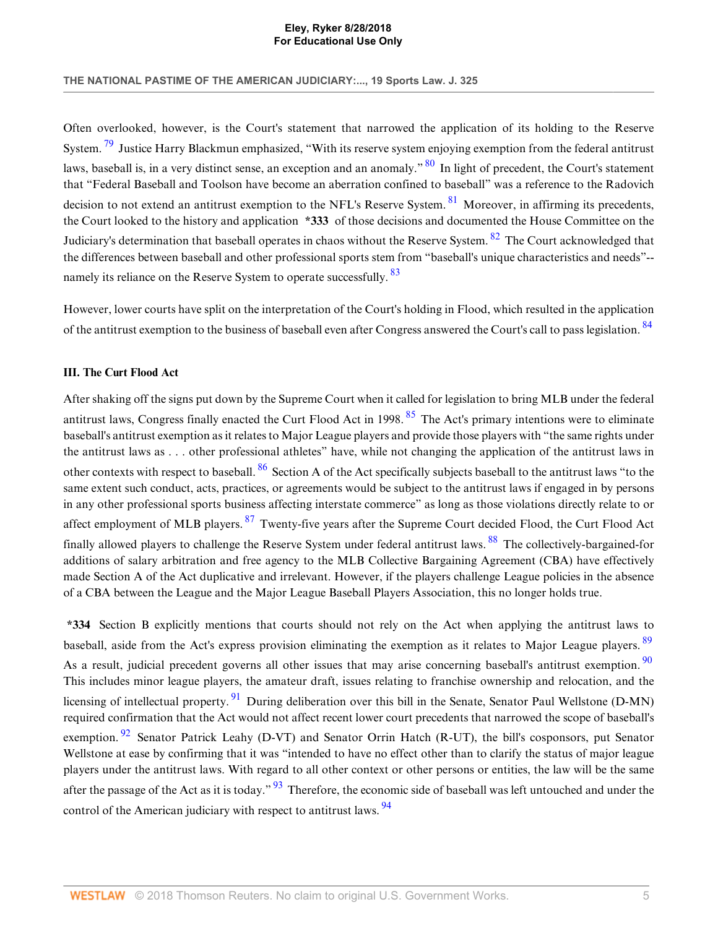**THE NATIONAL PASTIME OF THE AMERICAN JUDICIARY:..., 19 Sports Law. J. 325**

<span id="page-5-3"></span><span id="page-5-2"></span><span id="page-5-1"></span>Often overlooked, however, is the Court's statement that narrowed the application of its holding to the Reserve System.<sup>[79](#page-13-24)</sup> Justice Harry Blackmun emphasized, "With its reserve system enjoying exemption from the federal antitrust laws, baseball is, in a very distinct sense, an exception and an anomaly." <sup>[80](#page-13-25)</sup> In light of precedent, the Court's statement that "Federal Baseball and Toolson have become an aberration confined to baseball" was a reference to the Radovich decision to not extend an antitrust exemption to the NFL's Reserve System. <sup>[81](#page-13-26)</sup> Moreover, in affirming its precedents, the Court looked to the history and application **\*333** of those decisions and documented the House Committee on the Judiciary's determination that baseball operates in chaos without the Reserve System.<sup>[82](#page-13-27)</sup> The Court acknowledged that the differences between baseball and other professional sports stem from "baseball's unique characteristics and needs"-- namely its reliance on the Reserve System to operate successfully. <sup>[83](#page-13-28)</sup>

<span id="page-5-6"></span><span id="page-5-5"></span><span id="page-5-4"></span>However, lower courts have split on the interpretation of the Court's holding in Flood, which resulted in the application of the antitrust exemption to the business of baseball even after Congress answered the Court's call to pass legislation. <sup>[84](#page-14-0)</sup>

# <span id="page-5-0"></span>**III. The Curt Flood Act**

<span id="page-5-8"></span><span id="page-5-7"></span>After shaking off the signs put down by the Supreme Court when it called for legislation to bring MLB under the federal antitrust laws, Congress finally enacted the Curt Flood Act in 1998.<sup>[85](#page-14-1)</sup> The Act's primary intentions were to eliminate baseball's antitrust exemption as it relates to Major League players and provide those players with "the same rights under the antitrust laws as . . . other professional athletes" have, while not changing the application of the antitrust laws in other contexts with respect to baseball. <sup>[86](#page-14-2)</sup> Section A of the Act specifically subjects baseball to the antitrust laws "to the same extent such conduct, acts, practices, or agreements would be subject to the antitrust laws if engaged in by persons in any other professional sports business affecting interstate commerce" as long as those violations directly relate to or affect employment of MLB players. <sup>[87](#page-14-3)</sup> Twenty-five years after the Supreme Court decided Flood, the Curt Flood Act finally allowed players to challenge the Reserve System under federal antitrust laws. <sup>[88](#page-14-4)</sup> The collectively-bargained-for additions of salary arbitration and free agency to the MLB Collective Bargaining Agreement (CBA) have effectively made Section A of the Act duplicative and irrelevant. However, if the players challenge League policies in the absence of a CBA between the League and the Major League Baseball Players Association, this no longer holds true.

<span id="page-5-16"></span><span id="page-5-15"></span><span id="page-5-14"></span><span id="page-5-13"></span><span id="page-5-12"></span><span id="page-5-11"></span><span id="page-5-10"></span><span id="page-5-9"></span>**\*334** Section B explicitly mentions that courts should not rely on the Act when applying the antitrust laws to baseball, aside from the Act's express provision eliminating the exemption as it relates to Major League players. <sup>[89](#page-14-5)</sup> As a result, judicial precedent governs all other issues that may arise concerning baseball's antitrust exemption. <sup>[90](#page-14-6)</sup> This includes minor league players, the amateur draft, issues relating to franchise ownership and relocation, and the licensing of intellectual property. <sup>[91](#page-14-7)</sup> During deliberation over this bill in the Senate, Senator Paul Wellstone (D-MN) required confirmation that the Act would not affect recent lower court precedents that narrowed the scope of baseball's exemption.  $92$  Senator Patrick Leahy (D-VT) and Senator Orrin Hatch (R-UT), the bill's cosponsors, put Senator Wellstone at ease by confirming that it was "intended to have no effect other than to clarify the status of major league players under the antitrust laws. With regard to all other context or other persons or entities, the law will be the same after the passage of the Act as it is today." <sup>[93](#page-14-9)</sup> Therefore, the economic side of baseball was left untouched and under the control of the American judiciary with respect to antitrust laws. <sup>[94](#page-14-10)</sup>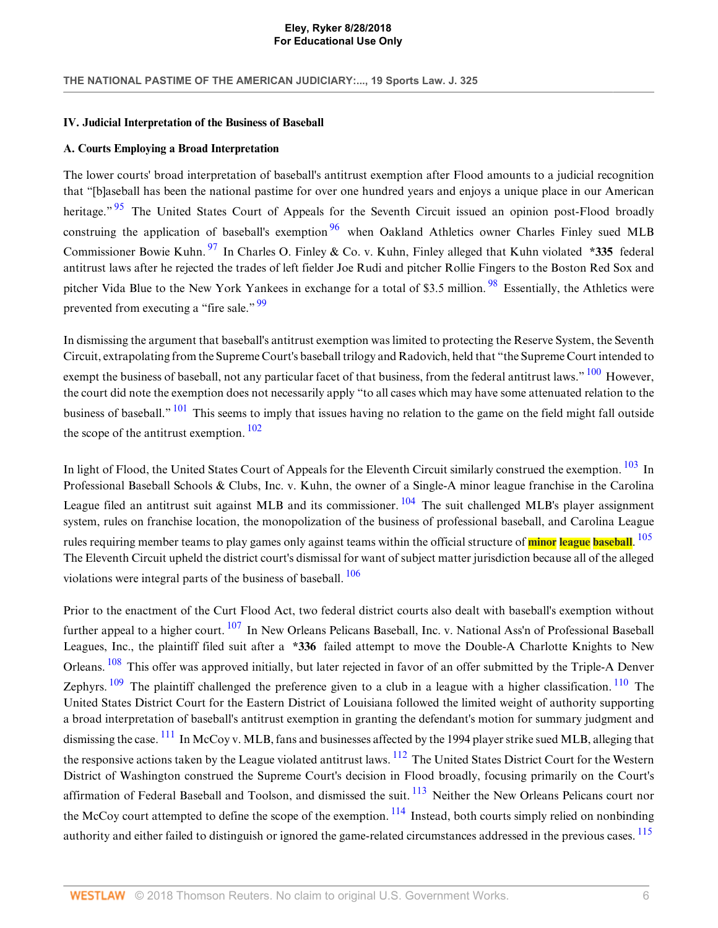#### <span id="page-6-0"></span>**IV. Judicial Interpretation of the Business of Baseball**

### <span id="page-6-1"></span>**A. Courts Employing a Broad Interpretation**

<span id="page-6-4"></span><span id="page-6-3"></span><span id="page-6-2"></span>The lower courts' broad interpretation of baseball's antitrust exemption after Flood amounts to a judicial recognition that "[b]aseball has been the national pastime for over one hundred years and enjoys a unique place in our American heritage." <sup>[95](#page-14-11)</sup> The United States Court of Appeals for the Seventh Circuit issued an opinion post-Flood broadly construing the application of baseball's exemption  $96$  when Oakland Athletics owner Charles Finley sued MLB Commissioner Bowie Kuhn. <sup>[97](#page-14-13)</sup> In Charles O. Finley & Co. v. Kuhn, Finley alleged that Kuhn violated **\*335** federal antitrust laws after he rejected the trades of left fielder Joe Rudi and pitcher Rollie Fingers to the Boston Red Sox and pitcher Vida Blue to the New York Yankees in exchange for a total of \$3.5 million. <sup>[98](#page-14-14)</sup> Essentially, the Athletics were prevented from executing a "fire sale."  $99$ 

<span id="page-6-7"></span><span id="page-6-6"></span><span id="page-6-5"></span>In dismissing the argument that baseball's antitrust exemption was limited to protecting the Reserve System, the Seventh Circuit, extrapolating from the Supreme Court's baseball trilogy and Radovich, held that "the Supreme Court intended to exempt the business of baseball, not any particular facet of that business, from the federal antitrust laws." <sup>[100](#page-14-16)</sup> However, the court did note the exemption does not necessarily apply "to all cases which may have some attenuated relation to the business of baseball." <sup>[101](#page-14-17)</sup> This seems to imply that issues having no relation to the game on the field might fall outside the scope of the antitrust exemption.  $102$ 

<span id="page-6-12"></span><span id="page-6-11"></span><span id="page-6-10"></span><span id="page-6-9"></span><span id="page-6-8"></span>In light of Flood, the United States Court of Appeals for the Eleventh Circuit similarly construed the exemption. <sup>[103](#page-14-19)</sup> In Professional Baseball Schools & Clubs, Inc. v. Kuhn, the owner of a Single-A minor league franchise in the Carolina League filed an antitrust suit against MLB and its commissioner. <sup>[104](#page-14-20)</sup> The suit challenged MLB's player assignment system, rules on franchise location, the monopolization of the business of professional baseball, and Carolina League rules requiring member teams to play games only against teams within the official structure of **minor league baseball**. [105](#page-14-21) The Eleventh Circuit upheld the district court's dismissal for want of subject matter jurisdiction because all of the alleged violations were integral parts of the business of baseball. [106](#page-14-22)

<span id="page-6-22"></span><span id="page-6-21"></span><span id="page-6-20"></span><span id="page-6-19"></span><span id="page-6-18"></span><span id="page-6-17"></span><span id="page-6-16"></span><span id="page-6-15"></span><span id="page-6-14"></span><span id="page-6-13"></span>Prior to the enactment of the Curt Flood Act, two federal district courts also dealt with baseball's exemption without further appeal to a higher court. <sup>[107](#page-14-23)</sup> In New Orleans Pelicans Baseball, Inc. v. National Ass'n of Professional Baseball Leagues, Inc., the plaintiff filed suit after a **\*336** failed attempt to move the Double-A Charlotte Knights to New Orleans. <sup>[108](#page-14-24)</sup> This offer was approved initially, but later rejected in favor of an offer submitted by the Triple-A Denver Zephyrs.  $\frac{109}{10}$  $\frac{109}{10}$  $\frac{109}{10}$  The plaintiff challenged the preference given to a club in a league with a higher classification.  $\frac{110}{10}$  $\frac{110}{10}$  $\frac{110}{10}$  The United States District Court for the Eastern District of Louisiana followed the limited weight of authority supporting a broad interpretation of baseball's antitrust exemption in granting the defendant's motion for summary judgment and dismissing the case. <sup>[111](#page-15-1)</sup> In McCoy v. MLB, fans and businesses affected by the 1994 player strike sued MLB, alleging that the responsive actions taken by the League violated antitrust laws. <sup>[112](#page-15-2)</sup> The United States District Court for the Western District of Washington construed the Supreme Court's decision in Flood broadly, focusing primarily on the Court's affirmation of Federal Baseball and Toolson, and dismissed the suit. <sup>[113](#page-15-3)</sup> Neither the New Orleans Pelicans court nor the McCoy court attempted to define the scope of the exemption. <sup>[114](#page-15-4)</sup> Instead, both courts simply relied on nonbinding authority and either failed to distinguish or ignored the game-related circumstances addressed in the previous cases. <sup>[115](#page-15-5)</sup>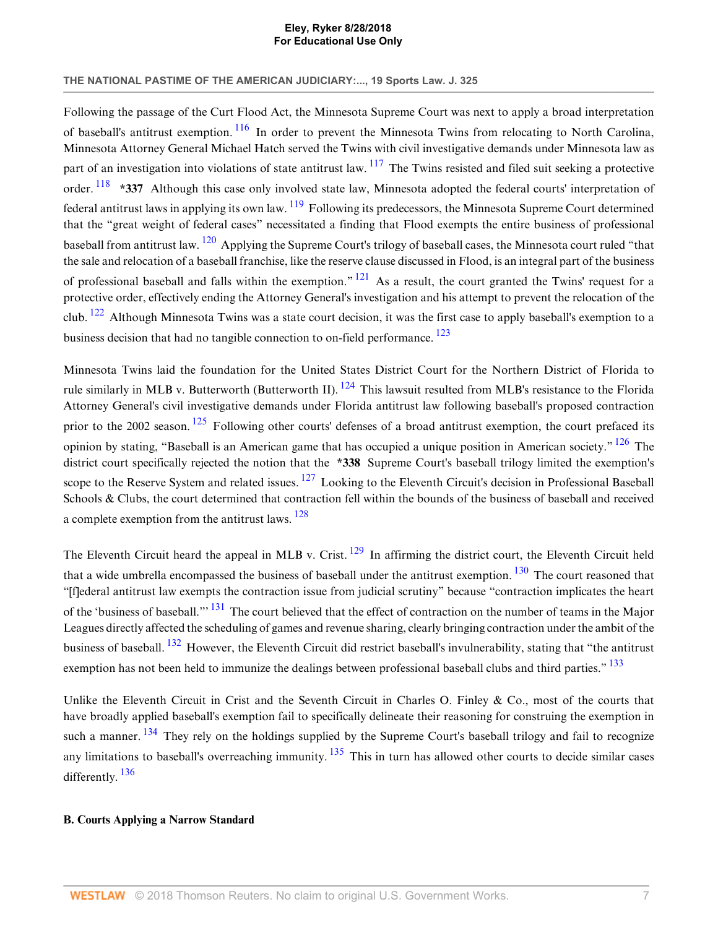# **THE NATIONAL PASTIME OF THE AMERICAN JUDICIARY:..., 19 Sports Law. J. 325**

<span id="page-7-5"></span><span id="page-7-4"></span><span id="page-7-3"></span><span id="page-7-2"></span><span id="page-7-1"></span>Following the passage of the Curt Flood Act, the Minnesota Supreme Court was next to apply a broad interpretation of baseball's antitrust exemption. <sup>[116](#page-15-6)</sup> In order to prevent the Minnesota Twins from relocating to North Carolina, Minnesota Attorney General Michael Hatch served the Twins with civil investigative demands under Minnesota law as part of an investigation into violations of state antitrust law.  $^{117}$  $^{117}$  $^{117}$  The Twins resisted and filed suit seeking a protective order. <sup>[118](#page-15-8)</sup> \*337 Although this case only involved state law, Minnesota adopted the federal courts' interpretation of federal antitrust laws in applying its own law.  $^{119}$  $^{119}$  $^{119}$  Following its predecessors, the Minnesota Supreme Court determined that the "great weight of federal cases" necessitated a finding that Flood exempts the entire business of professional baseball from antitrust law. <sup>[120](#page-15-10)</sup> Applying the Supreme Court's trilogy of baseball cases, the Minnesota court ruled "that the sale and relocation of a baseball franchise, like the reserve clause discussed in Flood, is an integral part of the business of professional baseball and falls within the exemption."  $^{121}$  $^{121}$  $^{121}$  As a result, the court granted the Twins' request for a protective order, effectively ending the Attorney General's investigation and his attempt to prevent the relocation of the club.  $122$  Although Minnesota Twins was a state court decision, it was the first case to apply baseball's exemption to a business decision that had no tangible connection to on-field performance.<sup>[123](#page-15-13)</sup>

<span id="page-7-11"></span><span id="page-7-10"></span><span id="page-7-9"></span><span id="page-7-8"></span><span id="page-7-7"></span><span id="page-7-6"></span>Minnesota Twins laid the foundation for the United States District Court for the Northern District of Florida to rule similarly in MLB v. Butterworth (Butterworth II).  $^{124}$  $^{124}$  $^{124}$  This lawsuit resulted from MLB's resistance to the Florida Attorney General's civil investigative demands under Florida antitrust law following baseball's proposed contraction prior to the 2002 season.  $125$  Following other courts' defenses of a broad antitrust exemption, the court prefaced its opinion by stating, "Baseball is an American game that has occupied a unique position in American society."  $126$  The district court specifically rejected the notion that the **\*338** Supreme Court's baseball trilogy limited the exemption's scope to the Reserve System and related issues.  $127$  Looking to the Eleventh Circuit's decision in Professional Baseball Schools & Clubs, the court determined that contraction fell within the bounds of the business of baseball and received a complete exemption from the antitrust laws. [128](#page-15-18)

<span id="page-7-16"></span><span id="page-7-15"></span><span id="page-7-14"></span><span id="page-7-13"></span><span id="page-7-12"></span>The Eleventh Circuit heard the appeal in MLB v. Crist.  $129$  In affirming the district court, the Eleventh Circuit held that a wide umbrella encompassed the business of baseball under the antitrust exemption.  $130$  The court reasoned that "[f]ederal antitrust law exempts the contraction issue from judicial scrutiny" because "contraction implicates the heart of the 'business of baseball."<sup>[131](#page-16-1)</sup> The court believed that the effect of contraction on the number of teams in the Major Leagues directly affected the scheduling of games and revenue sharing, clearly bringing contraction under the ambit of the business of baseball. [132](#page-16-2) However, the Eleventh Circuit did restrict baseball's invulnerability, stating that "the antitrust exemption has not been held to immunize the dealings between professional baseball clubs and third parties."<sup>[133](#page-16-3)</sup>

<span id="page-7-20"></span><span id="page-7-19"></span><span id="page-7-18"></span><span id="page-7-17"></span>Unlike the Eleventh Circuit in Crist and the Seventh Circuit in Charles O. Finley  $\&$  Co., most of the courts that have broadly applied baseball's exemption fail to specifically delineate their reasoning for construing the exemption in such a manner. <sup>[134](#page-16-4)</sup> They rely on the holdings supplied by the Supreme Court's baseball trilogy and fail to recognize any limitations to baseball's overreaching immunity. <sup>[135](#page-16-5)</sup> This in turn has allowed other courts to decide similar cases differently. [136](#page-16-6)

# <span id="page-7-21"></span><span id="page-7-0"></span>**B. Courts Applying a Narrow Standard**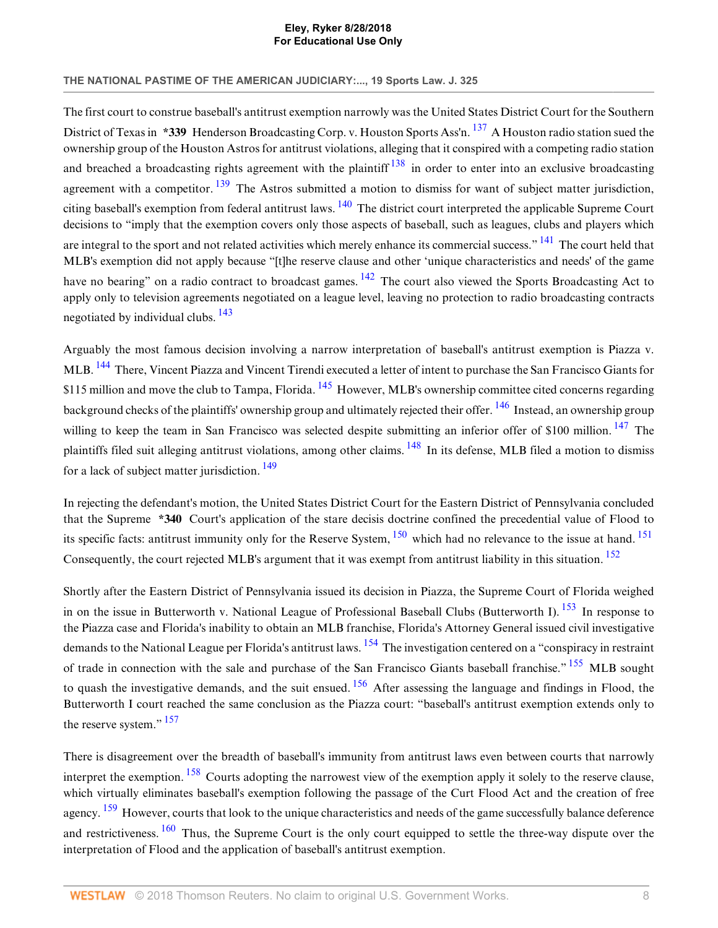### **THE NATIONAL PASTIME OF THE AMERICAN JUDICIARY:..., 19 Sports Law. J. 325**

<span id="page-8-3"></span><span id="page-8-2"></span><span id="page-8-1"></span><span id="page-8-0"></span>The first court to construe baseball's antitrust exemption narrowly was the United States District Court for the Southern District of Texas in **\*339** Henderson Broadcasting Corp. v. Houston Sports Ass'n. <sup>[137](#page-16-7)</sup> A Houston radio station sued the ownership group of the Houston Astros for antitrust violations, alleging that it conspired with a competing radio station and breached a broadcasting rights agreement with the plaintiff  $138$  in order to enter into an exclusive broadcasting agreement with a competitor.  $139$  The Astros submitted a motion to dismiss for want of subject matter jurisdiction, citing baseball's exemption from federal antitrust laws.  $140$  The district court interpreted the applicable Supreme Court decisions to "imply that the exemption covers only those aspects of baseball, such as leagues, clubs and players which are integral to the sport and not related activities which merely enhance its commercial success." <sup>[141](#page-16-11)</sup> The court held that MLB's exemption did not apply because "[t]he reserve clause and other 'unique characteristics and needs' of the game have no bearing" on a radio contract to broadcast games. <sup>[142](#page-16-12)</sup> The court also viewed the Sports Broadcasting Act to apply only to television agreements negotiated on a league level, leaving no protection to radio broadcasting contracts negotiated by individual clubs.  $\frac{143}{2}$  $\frac{143}{2}$  $\frac{143}{2}$ 

<span id="page-8-10"></span><span id="page-8-9"></span><span id="page-8-8"></span><span id="page-8-7"></span><span id="page-8-6"></span><span id="page-8-5"></span><span id="page-8-4"></span>Arguably the most famous decision involving a narrow interpretation of baseball's antitrust exemption is Piazza v. MLB. [144](#page-16-14) There, Vincent Piazza and Vincent Tirendi executed a letter of intent to purchase the San Francisco Giants for \$115 million and move the club to Tampa, Florida. <sup>[145](#page-16-15)</sup> However, MLB's ownership committee cited concerns regarding background checks of the plaintiffs' ownership group and ultimately rejected their offer. <sup>[146](#page-16-16)</sup> Instead, an ownership group willing to keep the team in San Francisco was selected despite submitting an inferior offer of \$100 million. <sup>[147](#page-16-17)</sup> The plaintiffs filed suit alleging antitrust violations, among other claims. [148](#page-16-18) In its defense, MLB filed a motion to dismiss for a lack of subject matter jurisdiction. [149](#page-16-19)

<span id="page-8-14"></span><span id="page-8-13"></span><span id="page-8-12"></span><span id="page-8-11"></span>In rejecting the defendant's motion, the United States District Court for the Eastern District of Pennsylvania concluded that the Supreme **\*340** Court's application of the stare decisis doctrine confined the precedential value of Flood to its specific facts: antitrust immunity only for the Reserve System,  $^{150}$  $^{150}$  $^{150}$  which had no relevance to the issue at hand.  $^{151}$  $^{151}$  $^{151}$ Consequently, the court rejected MLB's argument that it was exempt from antitrust liability in this situation. <sup>[152](#page-16-22)</sup>

<span id="page-8-18"></span><span id="page-8-17"></span><span id="page-8-16"></span><span id="page-8-15"></span>Shortly after the Eastern District of Pennsylvania issued its decision in Piazza, the Supreme Court of Florida weighed in on the issue in Butterworth v. National League of Professional Baseball Clubs (Butterworth I).  $^{153}$  $^{153}$  $^{153}$  In response to the Piazza case and Florida's inability to obtain an MLB franchise, Florida's Attorney General issued civil investigative demands to the National League per Florida's antitrust laws. <sup>[154](#page-16-24)</sup> The investigation centered on a "conspiracy in restraint" of trade in connection with the sale and purchase of the San Francisco Giants baseball franchise." <sup>[155](#page-16-25)</sup> MLB sought to quash the investigative demands, and the suit ensued.  $156$  After assessing the language and findings in Flood, the Butterworth I court reached the same conclusion as the Piazza court: "baseball's antitrust exemption extends only to the reserve system."  $157$ 

<span id="page-8-23"></span><span id="page-8-22"></span><span id="page-8-21"></span><span id="page-8-20"></span><span id="page-8-19"></span>There is disagreement over the breadth of baseball's immunity from antitrust laws even between courts that narrowly interpret the exemption. <sup>[158](#page-17-1)</sup> Courts adopting the narrowest view of the exemption apply it solely to the reserve clause, which virtually eliminates baseball's exemption following the passage of the Curt Flood Act and the creation of free agency. <sup>[159](#page-17-2)</sup> However, courts that look to the unique characteristics and needs of the game successfully balance deference and restrictiveness. <sup>[160](#page-17-3)</sup> Thus, the Supreme Court is the only court equipped to settle the three-way dispute over the interpretation of Flood and the application of baseball's antitrust exemption.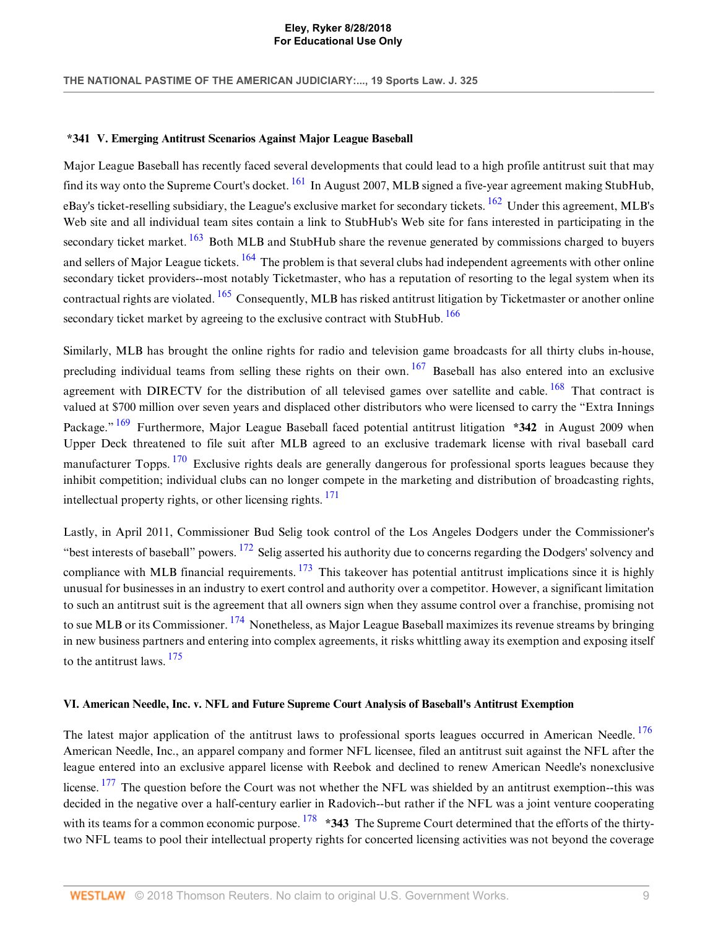#### <span id="page-9-0"></span>**\*341 V. Emerging Antitrust Scenarios Against Major League Baseball**

<span id="page-9-5"></span><span id="page-9-4"></span><span id="page-9-3"></span><span id="page-9-2"></span>Major League Baseball has recently faced several developments that could lead to a high profile antitrust suit that may find its way onto the Supreme Court's docket.  $^{161}$  $^{161}$  $^{161}$  In August 2007, MLB signed a five-year agreement making StubHub, eBay's ticket-reselling subsidiary, the League's exclusive market for secondary tickets.  $\frac{162}{162}$  $\frac{162}{162}$  $\frac{162}{162}$  Under this agreement, MLB's Web site and all individual team sites contain a link to StubHub's Web site for fans interested in participating in the secondary ticket market. <sup>[163](#page-17-6)</sup> Both MLB and StubHub share the revenue generated by commissions charged to buyers and sellers of Major League tickets. <sup>[164](#page-17-7)</sup> The problem is that several clubs had independent agreements with other online secondary ticket providers--most notably Ticketmaster, who has a reputation of resorting to the legal system when its contractual rights are violated.  $165$  Consequently, MLB has risked antitrust litigation by Ticketmaster or another online secondary ticket market by agreeing to the exclusive contract with StubHub. <sup>[166](#page-17-9)</sup>

<span id="page-9-10"></span><span id="page-9-9"></span><span id="page-9-8"></span><span id="page-9-7"></span><span id="page-9-6"></span>Similarly, MLB has brought the online rights for radio and television game broadcasts for all thirty clubs in-house, precluding individual teams from selling these rights on their own.  $167$  Baseball has also entered into an exclusive agreement with DIRECTV for the distribution of all televised games over satellite and cable. <sup>[168](#page-17-11)</sup> That contract is valued at \$700 million over seven years and displaced other distributors who were licensed to carry the "Extra Innings Package."<sup>[169](#page-17-12)</sup> Furthermore, Major League Baseball faced potential antitrust litigation **\*342** in August 2009 when Upper Deck threatened to file suit after MLB agreed to an exclusive trademark license with rival baseball card manufacturer Topps.  $170$  Exclusive rights deals are generally dangerous for professional sports leagues because they inhibit competition; individual clubs can no longer compete in the marketing and distribution of broadcasting rights, intellectual property rights, or other licensing rights.  $171$ 

<span id="page-9-15"></span><span id="page-9-14"></span><span id="page-9-13"></span><span id="page-9-12"></span><span id="page-9-11"></span>Lastly, in April 2011, Commissioner Bud Selig took control of the Los Angeles Dodgers under the Commissioner's "best interests of baseball" powers.  $^{172}$  $^{172}$  $^{172}$  Selig asserted his authority due to concerns regarding the Dodgers' solvency and compliance with MLB financial requirements.  $173$  This takeover has potential antitrust implications since it is highly unusual for businesses in an industry to exert control and authority over a competitor. However, a significant limitation to such an antitrust suit is the agreement that all owners sign when they assume control over a franchise, promising not to sue MLB or its Commissioner. [174](#page-17-17) Nonetheless, as Major League Baseball maximizes its revenue streams by bringing in new business partners and entering into complex agreements, it risks whittling away its exemption and exposing itself to the antitrust laws. [175](#page-17-18)

### <span id="page-9-16"></span><span id="page-9-1"></span>**VI. American Needle, Inc. v. NFL and Future Supreme Court Analysis of Baseball's Antitrust Exemption**

<span id="page-9-19"></span><span id="page-9-18"></span><span id="page-9-17"></span>The latest major application of the antitrust laws to professional sports leagues occurred in American Needle. <sup>[176](#page-17-19)</sup> American Needle, Inc., an apparel company and former NFL licensee, filed an antitrust suit against the NFL after the league entered into an exclusive apparel license with Reebok and declined to renew American Needle's nonexclusive license. <sup>[177](#page-17-20)</sup> The question before the Court was not whether the NFL was shielded by an antitrust exemption--this was decided in the negative over a half-century earlier in Radovich--but rather if the NFL was a joint venture cooperating with its teams for a common economic purpose. <sup>[178](#page-17-21)</sup> **\*343** The Supreme Court determined that the efforts of the thirtytwo NFL teams to pool their intellectual property rights for concerted licensing activities was not beyond the coverage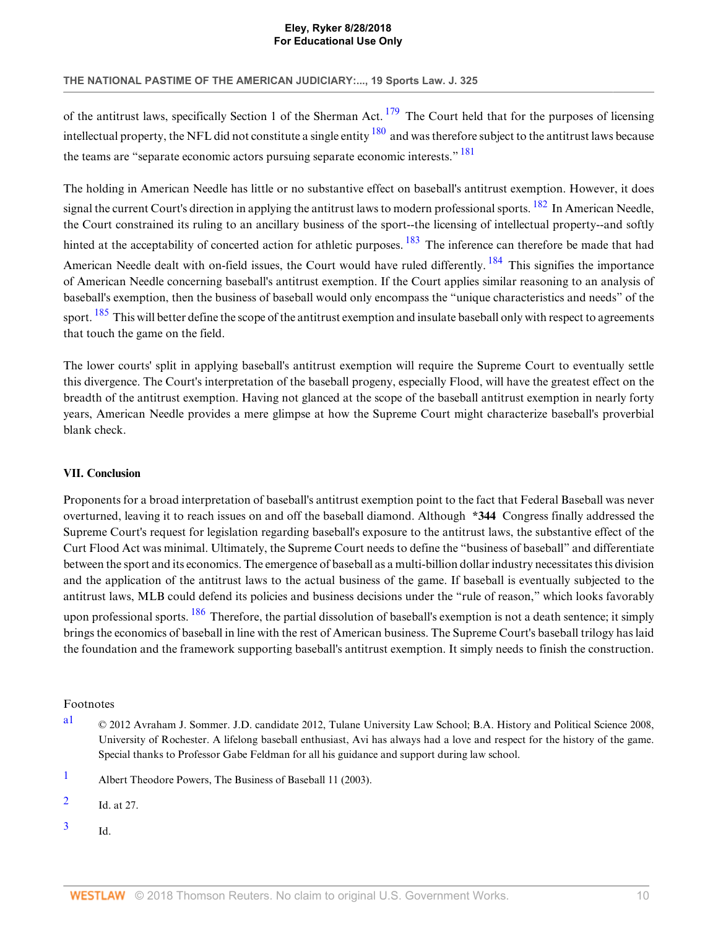# **THE NATIONAL PASTIME OF THE AMERICAN JUDICIARY:..., 19 Sports Law. J. 325**

<span id="page-10-7"></span><span id="page-10-6"></span><span id="page-10-5"></span>of the antitrust laws, specifically Section 1 of the Sherman Act.  $179$  The Court held that for the purposes of licensing intellectual property, the NFL did not constitute a single entity  $^{180}$  $^{180}$  $^{180}$  and was therefore subject to the antitrust laws because the teams are "separate economic actors pursuing separate economic interests." <sup>[181](#page-17-24)</sup>

<span id="page-10-10"></span><span id="page-10-9"></span><span id="page-10-8"></span>The holding in American Needle has little or no substantive effect on baseball's antitrust exemption. However, it does signal the current Court's direction in applying the antitrust laws to modern professional sports. <sup>[182](#page-18-0)</sup> In American Needle. the Court constrained its ruling to an ancillary business of the sport--the licensing of intellectual property--and softly hinted at the acceptability of concerted action for athletic purposes.  $183$  The inference can therefore be made that had American Needle dealt with on-field issues, the Court would have ruled differently. <sup>[184](#page-18-2)</sup> This signifies the importance of American Needle concerning baseball's antitrust exemption. If the Court applies similar reasoning to an analysis of baseball's exemption, then the business of baseball would only encompass the "unique characteristics and needs" of the sport. <sup>[185](#page-18-3)</sup> This will better define the scope of the antitrust exemption and insulate baseball only with respect to agreements that touch the game on the field.

<span id="page-10-11"></span>The lower courts' split in applying baseball's antitrust exemption will require the Supreme Court to eventually settle this divergence. The Court's interpretation of the baseball progeny, especially Flood, will have the greatest effect on the breadth of the antitrust exemption. Having not glanced at the scope of the baseball antitrust exemption in nearly forty years, American Needle provides a mere glimpse at how the Supreme Court might characterize baseball's proverbial blank check.

# <span id="page-10-1"></span>**VII. Conclusion**

Proponents for a broad interpretation of baseball's antitrust exemption point to the fact that Federal Baseball was never overturned, leaving it to reach issues on and off the baseball diamond. Although **\*344** Congress finally addressed the Supreme Court's request for legislation regarding baseball's exposure to the antitrust laws, the substantive effect of the Curt Flood Act was minimal. Ultimately, the Supreme Court needs to define the "business of baseball" and differentiate between the sport and its economics. The emergence of baseball as a multi-billion dollar industry necessitates this division and the application of the antitrust laws to the actual business of the game. If baseball is eventually subjected to the antitrust laws, MLB could defend its policies and business decisions under the "rule of reason," which looks favorably upon professional sports. <sup>[186](#page-18-4)</sup> Therefore, the partial dissolution of baseball's exemption is not a death sentence; it simply brings the economics of baseball in line with the rest of American business. The Supreme Court's baseball trilogy has laid the foundation and the framework supporting baseball's antitrust exemption. It simply needs to finish the construction.

# <span id="page-10-12"></span>Footnotes

- <span id="page-10-0"></span>[a1](#page-1-2) © 2012 Avraham J. Sommer. J.D. candidate 2012, Tulane University Law School; B.A. History and Political Science 2008, University of Rochester. A lifelong baseball enthusiast, Avi has always had a love and respect for the history of the game. Special thanks to Professor Gabe Feldman for all his guidance and support during law school.
- <span id="page-10-2"></span>[1](#page-1-3) Albert Theodore Powers, The Business of Baseball 11 (2003).
- <span id="page-10-3"></span>[2](#page-1-4) Id. at 27.
- <span id="page-10-4"></span>[3](#page-1-5) Id.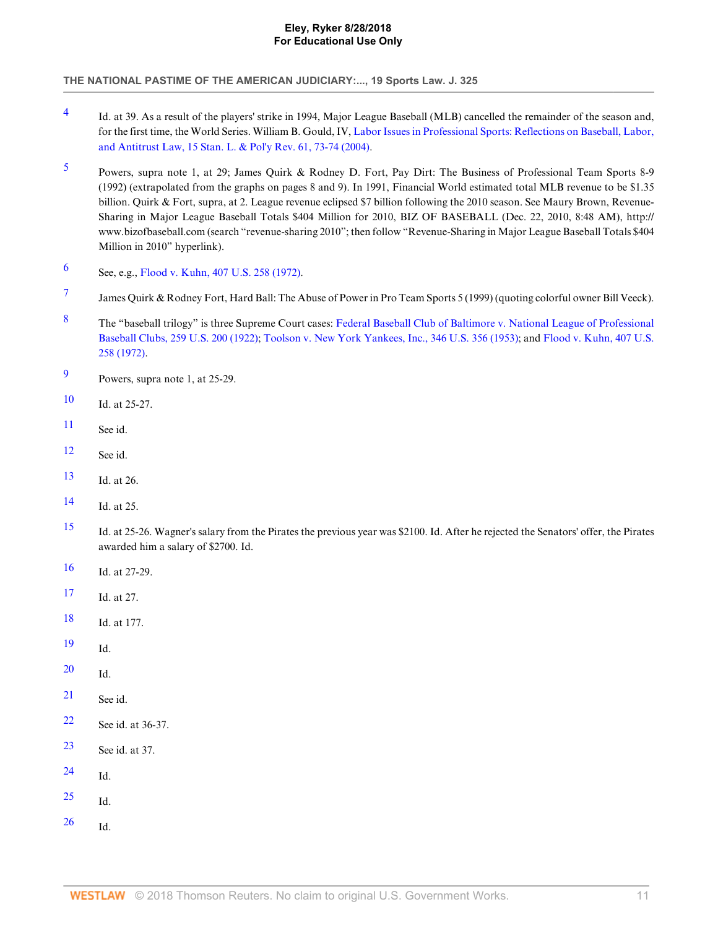- <span id="page-11-0"></span>[4](#page-1-6) Id. at 39. As a result of the players' strike in 1994, Major League Baseball (MLB) cancelled the remainder of the season and, for the first time, the World Series. William B. Gould, IV, [Labor Issues in Professional Sports: Reflections on Baseball, Labor,](http://www.westlaw.com/Link/Document/FullText?findType=Y&serNum=0299540383&pubNum=101481&originatingDoc=Ia578475082da11e18b05fdf15589d8e8&refType=LR&fi=co_pp_sp_101481_73&originationContext=document&vr=3.0&rs=cblt1.0&transitionType=DocumentItem&contextData=(sc.Search)#co_pp_sp_101481_73) [and Antitrust Law, 15 Stan. L. & Pol'y Rev. 61, 73-74 \(2004\)](http://www.westlaw.com/Link/Document/FullText?findType=Y&serNum=0299540383&pubNum=101481&originatingDoc=Ia578475082da11e18b05fdf15589d8e8&refType=LR&fi=co_pp_sp_101481_73&originationContext=document&vr=3.0&rs=cblt1.0&transitionType=DocumentItem&contextData=(sc.Search)#co_pp_sp_101481_73).
- <span id="page-11-1"></span>[5](#page-1-7) Powers, supra note 1, at 29; James Quirk & Rodney D. Fort, Pay Dirt: The Business of Professional Team Sports 8-9 (1992) (extrapolated from the graphs on pages 8 and 9). In 1991, Financial World estimated total MLB revenue to be \$1.35 billion. Quirk & Fort, supra, at 2. League revenue eclipsed \$7 billion following the 2010 season. See Maury Brown, Revenue-Sharing in Major League Baseball Totals \$404 Million for 2010, BIZ OF BASEBALL (Dec. 22, 2010, 8:48 AM), http:// www.bizofbaseball.com (search "revenue-sharing 2010"; then follow "Revenue-Sharing in Major League Baseball Totals \$404 Million in 2010" hyperlink).
- <span id="page-11-2"></span>[6](#page-1-8) See, e.g., [Flood v. Kuhn, 407 U.S. 258 \(1972\)](http://www.westlaw.com/Link/Document/FullText?findType=Y&serNum=1972127159&pubNum=780&originatingDoc=Ia578475082da11e18b05fdf15589d8e8&refType=RP&originationContext=document&vr=3.0&rs=cblt1.0&transitionType=DocumentItem&contextData=(sc.Search)).
- <span id="page-11-3"></span>[7](#page-1-9) James Quirk & Rodney Fort, Hard Ball: The Abuse of Power in Pro Team Sports 5 (1999) (quoting colorful owner Bill Veeck).
- <span id="page-11-4"></span>[8](#page-1-10) The "baseball trilogy" is three Supreme Court cases: [Federal Baseball Club of Baltimore v. National League of Professional](http://www.westlaw.com/Link/Document/FullText?findType=Y&serNum=1922117959&pubNum=780&originatingDoc=Ia578475082da11e18b05fdf15589d8e8&refType=RP&originationContext=document&vr=3.0&rs=cblt1.0&transitionType=DocumentItem&contextData=(sc.Search)) [Baseball Clubs, 259 U.S. 200 \(1922\)](http://www.westlaw.com/Link/Document/FullText?findType=Y&serNum=1922117959&pubNum=780&originatingDoc=Ia578475082da11e18b05fdf15589d8e8&refType=RP&originationContext=document&vr=3.0&rs=cblt1.0&transitionType=DocumentItem&contextData=(sc.Search)); [Toolson v. New York Yankees, Inc., 346 U.S. 356 \(1953\)](http://www.westlaw.com/Link/Document/FullText?findType=Y&serNum=1953119887&pubNum=780&originatingDoc=Ia578475082da11e18b05fdf15589d8e8&refType=RP&originationContext=document&vr=3.0&rs=cblt1.0&transitionType=DocumentItem&contextData=(sc.Search)); and [Flood v. Kuhn, 407 U.S.](http://www.westlaw.com/Link/Document/FullText?findType=Y&serNum=1972127159&pubNum=780&originatingDoc=Ia578475082da11e18b05fdf15589d8e8&refType=RP&originationContext=document&vr=3.0&rs=cblt1.0&transitionType=DocumentItem&contextData=(sc.Search)) [258 \(1972\).](http://www.westlaw.com/Link/Document/FullText?findType=Y&serNum=1972127159&pubNum=780&originatingDoc=Ia578475082da11e18b05fdf15589d8e8&refType=RP&originationContext=document&vr=3.0&rs=cblt1.0&transitionType=DocumentItem&contextData=(sc.Search))
- <span id="page-11-5"></span>[9](#page-2-0) Powers, supra note 1, at 25-29.
- <span id="page-11-6"></span>[10](#page-2-1) Id. at 25-27.
- <span id="page-11-7"></span>[11](#page-2-2) See id.
- <span id="page-11-8"></span>[12](#page-2-3) See id.
- <span id="page-11-9"></span>[13](#page-2-4) Id. at 26.
- <span id="page-11-10"></span>[14](#page-2-5) Id. at 25.
- <span id="page-11-11"></span>[15](#page-2-6) Id. at 25-26. Wagner's salary from the Pirates the previous year was \$2100. Id. After he rejected the Senators' offer, the Pirates awarded him a salary of \$2700. Id.
- <span id="page-11-12"></span>[16](#page-2-7) Id. at 27-29.
- <span id="page-11-13"></span>[17](#page-2-8) Id. at 27.
- <span id="page-11-14"></span>[18](#page-2-9) Id. at 177.
- <span id="page-11-15"></span> $19$  Id.
- <span id="page-11-16"></span>[20](#page-2-11) Id.
- <span id="page-11-17"></span> $21$  See id.
- <span id="page-11-18"></span>[22](#page-2-13) See id. at 36-37.
- <span id="page-11-19"></span>[23](#page-2-14) See id. at 37.
- <span id="page-11-20"></span>[24](#page-2-15) Id.
- <span id="page-11-21"></span> $25$  Id.
- <span id="page-11-22"></span> $26$  Id.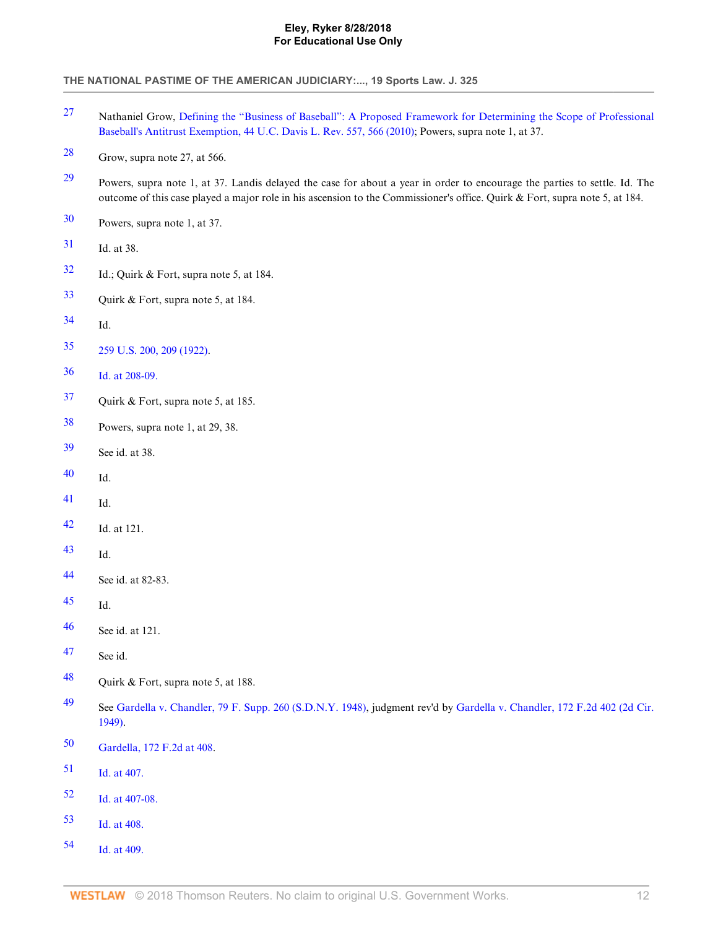- <span id="page-12-0"></span> Nathaniel Grow, [Defining the "Business of Baseball": A Proposed Framework for Determining the Scope of Professional](http://www.westlaw.com/Link/Document/FullText?findType=Y&serNum=0357728004&pubNum=2779&originatingDoc=Ia578475082da11e18b05fdf15589d8e8&refType=LR&fi=co_pp_sp_2779_566&originationContext=document&vr=3.0&rs=cblt1.0&transitionType=DocumentItem&contextData=(sc.Search)#co_pp_sp_2779_566) [Baseball's Antitrust Exemption, 44 U.C. Davis L. Rev. 557, 566 \(2010\)](http://www.westlaw.com/Link/Document/FullText?findType=Y&serNum=0357728004&pubNum=2779&originatingDoc=Ia578475082da11e18b05fdf15589d8e8&refType=LR&fi=co_pp_sp_2779_566&originationContext=document&vr=3.0&rs=cblt1.0&transitionType=DocumentItem&contextData=(sc.Search)#co_pp_sp_2779_566); Powers, supra note 1, at 37.
- <span id="page-12-1"></span>Grow, supra note 27, at 566.
- <span id="page-12-2"></span> Powers, supra note 1, at 37. Landis delayed the case for about a year in order to encourage the parties to settle. Id. The outcome of this case played a major role in his ascension to the Commissioner's office. Quirk & Fort, supra note 5, at 184.
- <span id="page-12-3"></span>Powers, supra note 1, at 37.
- <span id="page-12-4"></span>Id. at 38.
- <span id="page-12-5"></span>Id.; Quirk & Fort, supra note 5, at 184.
- <span id="page-12-6"></span>Quirk & Fort, supra note 5, at 184.
- <span id="page-12-7"></span>Id.
- <span id="page-12-8"></span>[259 U.S. 200, 209 \(1922\)](http://www.westlaw.com/Link/Document/FullText?findType=Y&serNum=1922117959&pubNum=780&originatingDoc=Ia578475082da11e18b05fdf15589d8e8&refType=RP&fi=co_pp_sp_780_209&originationContext=document&vr=3.0&rs=cblt1.0&transitionType=DocumentItem&contextData=(sc.Search)#co_pp_sp_780_209).
- <span id="page-12-9"></span>[Id. at 208-09.](http://www.westlaw.com/Link/Document/FullText?findType=Y&serNum=1922117959&originatingDoc=Ia578475082da11e18b05fdf15589d8e8&refType=RP&originationContext=document&vr=3.0&rs=cblt1.0&transitionType=DocumentItem&contextData=(sc.Search))
- <span id="page-12-10"></span>Quirk & Fort, supra note 5, at 185.
- <span id="page-12-11"></span>Powers, supra note 1, at 29, 38.
- <span id="page-12-12"></span>See id. at 38.
- <span id="page-12-13"></span>Id.
- <span id="page-12-14"></span>Id.
- <span id="page-12-15"></span>Id. at 121.
- <span id="page-12-16"></span>Id.
- <span id="page-12-17"></span>See id. at 82-83.
- <span id="page-12-18"></span>Id.
- <span id="page-12-19"></span>See id. at 121.
- <span id="page-12-20"></span>See id.
- <span id="page-12-21"></span>Quirk & Fort, supra note 5, at 188.
- <span id="page-12-22"></span> See [Gardella v. Chandler, 79 F. Supp. 260 \(S.D.N.Y. 1948\)](http://www.westlaw.com/Link/Document/FullText?findType=Y&serNum=1948116791&pubNum=345&originatingDoc=Ia578475082da11e18b05fdf15589d8e8&refType=RP&originationContext=document&vr=3.0&rs=cblt1.0&transitionType=DocumentItem&contextData=(sc.Search)), judgment rev'd by [Gardella v. Chandler, 172 F.2d 402 \(2d Cir.](http://www.westlaw.com/Link/Document/FullText?findType=Y&serNum=1949116978&pubNum=350&originatingDoc=Ia578475082da11e18b05fdf15589d8e8&refType=RP&originationContext=document&vr=3.0&rs=cblt1.0&transitionType=DocumentItem&contextData=(sc.Search)) [1949\).](http://www.westlaw.com/Link/Document/FullText?findType=Y&serNum=1949116978&pubNum=350&originatingDoc=Ia578475082da11e18b05fdf15589d8e8&refType=RP&originationContext=document&vr=3.0&rs=cblt1.0&transitionType=DocumentItem&contextData=(sc.Search))
- <span id="page-12-23"></span>[Gardella, 172 F.2d at 408.](http://www.westlaw.com/Link/Document/FullText?findType=Y&serNum=1949116978&pubNum=350&originatingDoc=Ia578475082da11e18b05fdf15589d8e8&refType=RP&fi=co_pp_sp_350_408&originationContext=document&vr=3.0&rs=cblt1.0&transitionType=DocumentItem&contextData=(sc.Search)#co_pp_sp_350_408)
- <span id="page-12-24"></span>[Id. at 407.](http://www.westlaw.com/Link/Document/FullText?findType=Y&serNum=1949116978&originatingDoc=Ia578475082da11e18b05fdf15589d8e8&refType=RP&originationContext=document&vr=3.0&rs=cblt1.0&transitionType=DocumentItem&contextData=(sc.Search))
- <span id="page-12-25"></span>[Id. at 407-08.](http://www.westlaw.com/Link/Document/FullText?findType=Y&serNum=1949116978&originatingDoc=Ia578475082da11e18b05fdf15589d8e8&refType=RP&originationContext=document&vr=3.0&rs=cblt1.0&transitionType=DocumentItem&contextData=(sc.Search))
- <span id="page-12-26"></span>[Id. at 408.](http://www.westlaw.com/Link/Document/FullText?findType=Y&serNum=1949116978&originatingDoc=Ia578475082da11e18b05fdf15589d8e8&refType=RP&originationContext=document&vr=3.0&rs=cblt1.0&transitionType=DocumentItem&contextData=(sc.Search))
- <span id="page-12-27"></span>[Id. at 409.](http://www.westlaw.com/Link/Document/FullText?findType=Y&serNum=1949116978&originatingDoc=Ia578475082da11e18b05fdf15589d8e8&refType=RP&originationContext=document&vr=3.0&rs=cblt1.0&transitionType=DocumentItem&contextData=(sc.Search))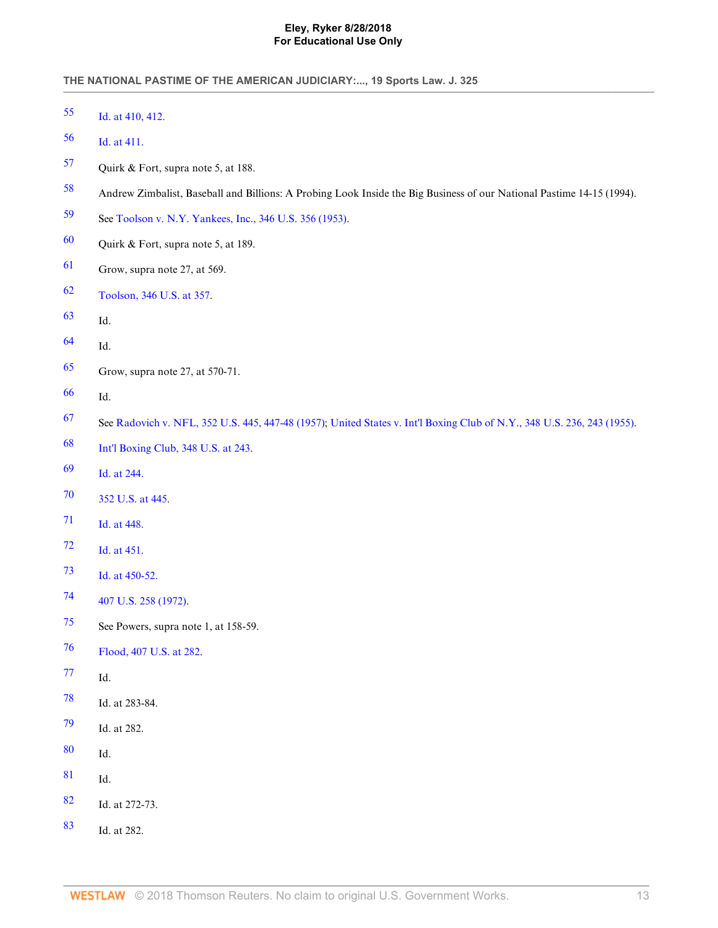<span id="page-13-28"></span><span id="page-13-27"></span><span id="page-13-26"></span><span id="page-13-25"></span><span id="page-13-24"></span><span id="page-13-23"></span><span id="page-13-22"></span><span id="page-13-21"></span><span id="page-13-20"></span><span id="page-13-19"></span><span id="page-13-18"></span><span id="page-13-17"></span><span id="page-13-16"></span><span id="page-13-15"></span><span id="page-13-14"></span><span id="page-13-13"></span><span id="page-13-12"></span><span id="page-13-11"></span><span id="page-13-10"></span><span id="page-13-9"></span><span id="page-13-8"></span><span id="page-13-7"></span><span id="page-13-6"></span><span id="page-13-5"></span><span id="page-13-4"></span><span id="page-13-3"></span><span id="page-13-2"></span><span id="page-13-1"></span><span id="page-13-0"></span>

| 55 | Id. at 410, 412.                                                                                                        |
|----|-------------------------------------------------------------------------------------------------------------------------|
| 56 | Id. at 411.                                                                                                             |
| 57 | Quirk & Fort, supra note 5, at 188.                                                                                     |
| 58 | Andrew Zimbalist, Baseball and Billions: A Probing Look Inside the Big Business of our National Pastime 14-15 (1994).   |
| 59 | See Toolson v. N.Y. Yankees, Inc., 346 U.S. 356 (1953).                                                                 |
| 60 | Quirk & Fort, supra note 5, at 189.                                                                                     |
| 61 | Grow, supra note 27, at 569.                                                                                            |
| 62 | Toolson, 346 U.S. at 357.                                                                                               |
| 63 | Id.                                                                                                                     |
| 64 | Id.                                                                                                                     |
| 65 | Grow, supra note 27, at 570-71.                                                                                         |
| 66 | Id.                                                                                                                     |
| 67 | See Radovich v. NFL, 352 U.S. 445, 447-48 (1957); United States v. Int'l Boxing Club of N.Y., 348 U.S. 236, 243 (1955). |
| 68 | Int'l Boxing Club, 348 U.S. at 243.                                                                                     |
| 69 | Id. at 244.                                                                                                             |
| 70 | 352 U.S. at 445.                                                                                                        |
| 71 | Id. at 448.                                                                                                             |
| 72 | Id. at 451.                                                                                                             |
| 73 | Id. at 450-52.                                                                                                          |
| 74 | 407 U.S. 258 (1972).                                                                                                    |
| 75 | See Powers, supra note 1, at 158-59.                                                                                    |
| 76 | Flood, 407 U.S. at 282.                                                                                                 |
| 77 | Id.                                                                                                                     |
| 78 | Id. at 283-84.                                                                                                          |
| 79 | Id. at 282.                                                                                                             |
| 80 | Id.                                                                                                                     |
| 81 | Id.                                                                                                                     |
| 82 | Id. at 272-73.                                                                                                          |
| 83 | Id. at 282.                                                                                                             |
|    |                                                                                                                         |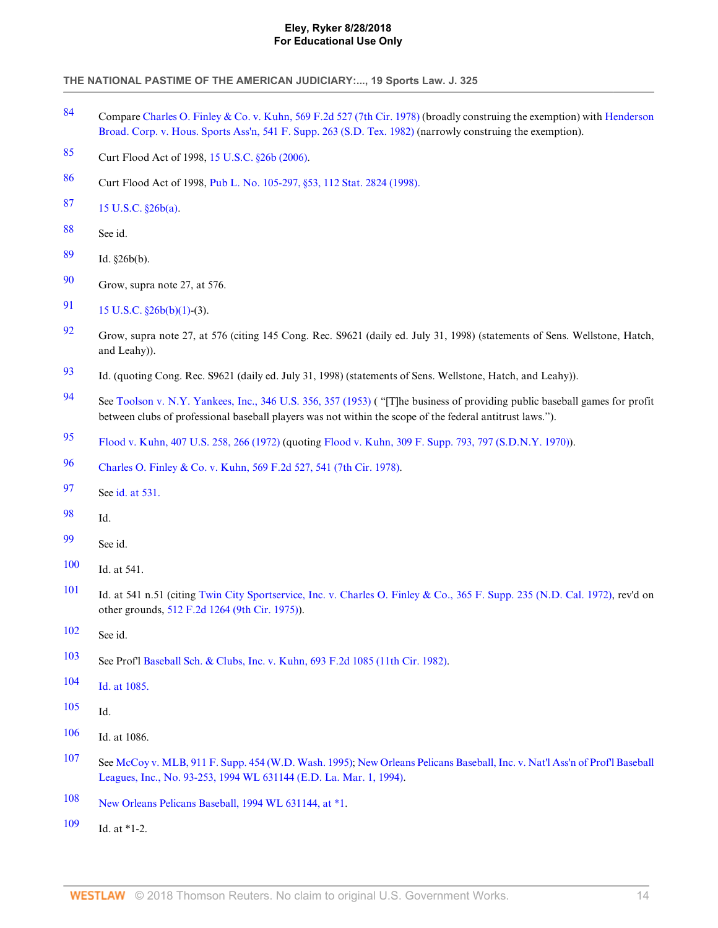- <span id="page-14-0"></span> Compare [Charles O. Finley & Co. v. Kuhn, 569 F.2d 527 \(7th Cir. 1978\)](http://www.westlaw.com/Link/Document/FullText?findType=Y&serNum=1978102377&pubNum=350&originatingDoc=Ia578475082da11e18b05fdf15589d8e8&refType=RP&originationContext=document&vr=3.0&rs=cblt1.0&transitionType=DocumentItem&contextData=(sc.Search)) (broadly construing the exemption) with [Henderson](http://www.westlaw.com/Link/Document/FullText?findType=Y&serNum=1982126986&pubNum=345&originatingDoc=Ia578475082da11e18b05fdf15589d8e8&refType=RP&originationContext=document&vr=3.0&rs=cblt1.0&transitionType=DocumentItem&contextData=(sc.Search)) [Broad. Corp. v. Hous. Sports Ass'n, 541 F. Supp. 263 \(S.D. Tex. 1982\)](http://www.westlaw.com/Link/Document/FullText?findType=Y&serNum=1982126986&pubNum=345&originatingDoc=Ia578475082da11e18b05fdf15589d8e8&refType=RP&originationContext=document&vr=3.0&rs=cblt1.0&transitionType=DocumentItem&contextData=(sc.Search)) (narrowly construing the exemption).
- <span id="page-14-1"></span>Curt Flood Act of 1998, [15 U.S.C. §26b \(2006\)](http://www.westlaw.com/Link/Document/FullText?findType=L&pubNum=1000546&cite=15USCAS26B&originatingDoc=Ia578475082da11e18b05fdf15589d8e8&refType=LQ&originationContext=document&vr=3.0&rs=cblt1.0&transitionType=DocumentItem&contextData=(sc.Search)).
- <span id="page-14-2"></span>Curt Flood Act of 1998, [Pub L. No. 105-297, §53, 112 Stat. 2824 \(1998\).](http://www.westlaw.com/Link/Document/FullText?findType=l&pubNum=1077005&cite=UUID(I814135E5DB-694560BDB5C-1D72E620F24)&originatingDoc=Ia578475082da11e18b05fdf15589d8e8&refType=SL&originationContext=document&vr=3.0&rs=cblt1.0&transitionType=DocumentItem&contextData=(sc.Search))
- <span id="page-14-3"></span>[15 U.S.C. §26b\(a\).](http://www.westlaw.com/Link/Document/FullText?findType=L&pubNum=1000546&cite=15USCAS26B&originatingDoc=Ia578475082da11e18b05fdf15589d8e8&refType=RB&originationContext=document&vr=3.0&rs=cblt1.0&transitionType=DocumentItem&contextData=(sc.Search)#co_pp_8b3b0000958a4)
- <span id="page-14-4"></span>See id.
- <span id="page-14-5"></span>Id. §26b(b).
- <span id="page-14-6"></span>Grow, supra note 27, at 576.
- <span id="page-14-7"></span>[91](#page-5-13) 15 U.S.C.  $\S26b(b)(1)-(3)$ .
- <span id="page-14-8"></span> Grow, supra note 27, at 576 (citing 145 Cong. Rec. S9621 (daily ed. July 31, 1998) (statements of Sens. Wellstone, Hatch, and Leahy)).
- <span id="page-14-9"></span>Id. (quoting Cong. Rec. S9621 (daily ed. July 31, 1998) (statements of Sens. Wellstone, Hatch, and Leahy)).
- <span id="page-14-10"></span> See [Toolson v. N.Y. Yankees, Inc., 346 U.S. 356, 357 \(1953\)](http://www.westlaw.com/Link/Document/FullText?findType=Y&serNum=1953119887&pubNum=780&originatingDoc=Ia578475082da11e18b05fdf15589d8e8&refType=RP&fi=co_pp_sp_780_357&originationContext=document&vr=3.0&rs=cblt1.0&transitionType=DocumentItem&contextData=(sc.Search)#co_pp_sp_780_357) ( "[T]he business of providing public baseball games for profit between clubs of professional baseball players was not within the scope of the federal antitrust laws.").
- <span id="page-14-11"></span>[Flood v. Kuhn, 407 U.S. 258, 266 \(1972\)](http://www.westlaw.com/Link/Document/FullText?findType=Y&serNum=1972127159&pubNum=780&originatingDoc=Ia578475082da11e18b05fdf15589d8e8&refType=RP&fi=co_pp_sp_780_266&originationContext=document&vr=3.0&rs=cblt1.0&transitionType=DocumentItem&contextData=(sc.Search)#co_pp_sp_780_266) (quoting [Flood v. Kuhn, 309 F. Supp. 793, 797 \(S.D.N.Y. 1970\)\)](http://www.westlaw.com/Link/Document/FullText?findType=Y&serNum=1970102040&pubNum=345&originatingDoc=Ia578475082da11e18b05fdf15589d8e8&refType=RP&fi=co_pp_sp_345_797&originationContext=document&vr=3.0&rs=cblt1.0&transitionType=DocumentItem&contextData=(sc.Search)#co_pp_sp_345_797).
- <span id="page-14-12"></span>[Charles O. Finley & Co. v. Kuhn, 569 F.2d 527, 541 \(7th Cir. 1978\).](http://www.westlaw.com/Link/Document/FullText?findType=Y&serNum=1978102377&pubNum=350&originatingDoc=Ia578475082da11e18b05fdf15589d8e8&refType=RP&fi=co_pp_sp_350_541&originationContext=document&vr=3.0&rs=cblt1.0&transitionType=DocumentItem&contextData=(sc.Search)#co_pp_sp_350_541)
- <span id="page-14-13"></span>See [id. at 531.](http://www.westlaw.com/Link/Document/FullText?findType=Y&serNum=1978102377&originatingDoc=Ia578475082da11e18b05fdf15589d8e8&refType=RP&originationContext=document&vr=3.0&rs=cblt1.0&transitionType=DocumentItem&contextData=(sc.Search))
- <span id="page-14-14"></span>Id.
- <span id="page-14-15"></span>See id.
- <span id="page-14-16"></span>Id. at 541.
- <span id="page-14-17"></span> Id. at 541 n.51 (citing [Twin City Sportservice, Inc. v. Charles O. Finley & Co., 365 F. Supp. 235 \(N.D. Cal. 1972\),](http://www.westlaw.com/Link/Document/FullText?findType=Y&serNum=1972107726&pubNum=345&originatingDoc=Ia578475082da11e18b05fdf15589d8e8&refType=RP&originationContext=document&vr=3.0&rs=cblt1.0&transitionType=DocumentItem&contextData=(sc.Search)) rev'd on other grounds, [512 F.2d 1264 \(9th Cir. 1975\)\)](http://www.westlaw.com/Link/Document/FullText?findType=Y&serNum=1975110170&pubNum=350&originatingDoc=Ia578475082da11e18b05fdf15589d8e8&refType=RP&originationContext=document&vr=3.0&rs=cblt1.0&transitionType=DocumentItem&contextData=(sc.Search)).
- <span id="page-14-18"></span>See id.
- <span id="page-14-19"></span>See Prof'l [Baseball Sch. & Clubs, Inc. v. Kuhn, 693 F.2d 1085 \(11th Cir. 1982\)](http://www.westlaw.com/Link/Document/FullText?findType=Y&serNum=1982151219&pubNum=350&originatingDoc=Ia578475082da11e18b05fdf15589d8e8&refType=RP&originationContext=document&vr=3.0&rs=cblt1.0&transitionType=DocumentItem&contextData=(sc.Search)).
- <span id="page-14-20"></span>[Id. at 1085.](http://www.westlaw.com/Link/Document/FullText?findType=Y&serNum=1982151219&originatingDoc=Ia578475082da11e18b05fdf15589d8e8&refType=RP&originationContext=document&vr=3.0&rs=cblt1.0&transitionType=DocumentItem&contextData=(sc.Search))
- <span id="page-14-21"></span>Id.
- <span id="page-14-22"></span>Id. at 1086.
- <span id="page-14-23"></span> See [McCoy v. MLB, 911 F. Supp. 454 \(W.D. Wash. 1995\);](http://www.westlaw.com/Link/Document/FullText?findType=Y&serNum=1996034070&pubNum=345&originatingDoc=Ia578475082da11e18b05fdf15589d8e8&refType=RP&originationContext=document&vr=3.0&rs=cblt1.0&transitionType=DocumentItem&contextData=(sc.Search)) [New Orleans Pelicans Baseball, Inc. v. Nat'l Ass'n of Prof'l Baseball](http://www.westlaw.com/Link/Document/FullText?findType=Y&serNum=1994226847&pubNum=0000999&originatingDoc=Ia578475082da11e18b05fdf15589d8e8&refType=RP&originationContext=document&vr=3.0&rs=cblt1.0&transitionType=DocumentItem&contextData=(sc.Search)) [Leagues, Inc., No. 93-253, 1994 WL 631144 \(E.D. La. Mar. 1, 1994\).](http://www.westlaw.com/Link/Document/FullText?findType=Y&serNum=1994226847&pubNum=0000999&originatingDoc=Ia578475082da11e18b05fdf15589d8e8&refType=RP&originationContext=document&vr=3.0&rs=cblt1.0&transitionType=DocumentItem&contextData=(sc.Search))
- <span id="page-14-24"></span>[New Orleans Pelicans Baseball, 1994 WL 631144, at \\*1](http://www.westlaw.com/Link/Document/FullText?findType=Y&serNum=1994226847&pubNum=0000999&originatingDoc=Ia578475082da11e18b05fdf15589d8e8&refType=RP&originationContext=document&vr=3.0&rs=cblt1.0&transitionType=DocumentItem&contextData=(sc.Search)).
- <span id="page-14-25"></span>Id. at \*1-2.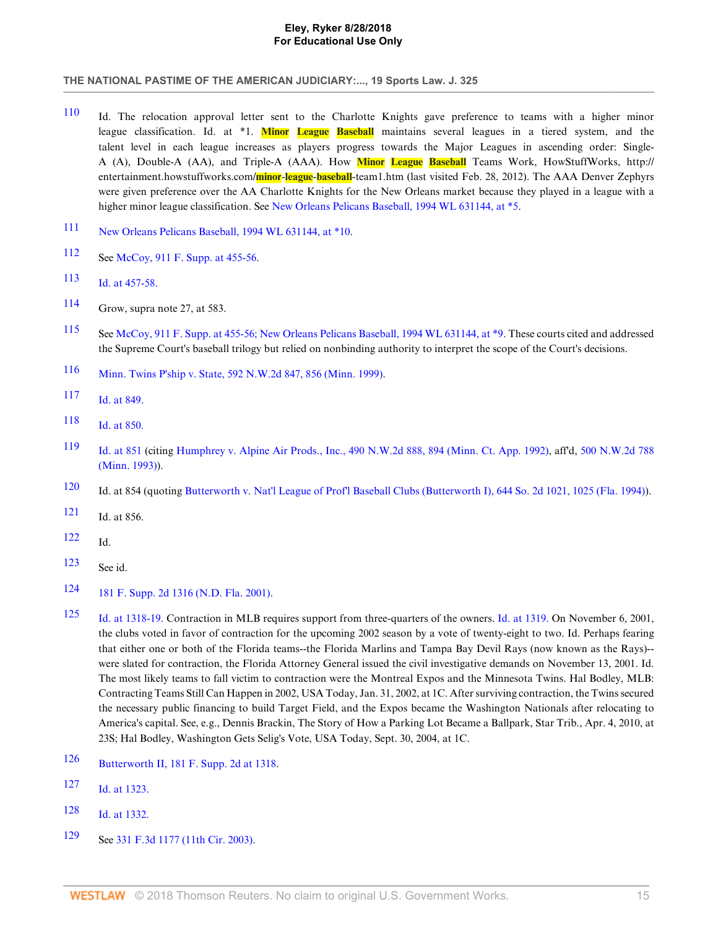- <span id="page-15-0"></span>[110](#page-6-17) Id. The relocation approval letter sent to the Charlotte Knights gave preference to teams with a higher minor league classification. Id. at \*1. **Minor League Baseball** maintains several leagues in a tiered system, and the talent level in each league increases as players progress towards the Major Leagues in ascending order: Single-A (A), Double-A (AA), and Triple-A (AAA). How **Minor League Baseball** Teams Work, HowStuffWorks, http:// entertainment.howstuffworks.com/**minor**-**league**-**baseball**-team1.htm (last visited Feb. 28, 2012). The AAA Denver Zephyrs were given preference over the AA Charlotte Knights for the New Orleans market because they played in a league with a higher minor league classification. See [New Orleans Pelicans Baseball, 1994 WL 631144, at \\*5](http://www.westlaw.com/Link/Document/FullText?findType=Y&serNum=1994226847&pubNum=0000999&originatingDoc=Ia578475082da11e18b05fdf15589d8e8&refType=RP&originationContext=document&vr=3.0&rs=cblt1.0&transitionType=DocumentItem&contextData=(sc.Search)).
- <span id="page-15-1"></span>[111](#page-6-18) [New Orleans Pelicans Baseball, 1994 WL 631144, at \\*10.](http://www.westlaw.com/Link/Document/FullText?findType=Y&serNum=1994226847&pubNum=0000999&originatingDoc=Ia578475082da11e18b05fdf15589d8e8&refType=RP&originationContext=document&vr=3.0&rs=cblt1.0&transitionType=DocumentItem&contextData=(sc.Search))
- <span id="page-15-2"></span>[112](#page-6-19) See [McCoy, 911 F. Supp. at 455-56.](http://www.westlaw.com/Link/Document/FullText?findType=Y&serNum=1996034070&pubNum=345&originatingDoc=Ia578475082da11e18b05fdf15589d8e8&refType=RP&fi=co_pp_sp_345_455&originationContext=document&vr=3.0&rs=cblt1.0&transitionType=DocumentItem&contextData=(sc.Search)#co_pp_sp_345_455)
- <span id="page-15-3"></span>[113](#page-6-20) [Id. at 457-58.](http://www.westlaw.com/Link/Document/FullText?findType=Y&serNum=1996034070&originatingDoc=Ia578475082da11e18b05fdf15589d8e8&refType=RP&originationContext=document&vr=3.0&rs=cblt1.0&transitionType=DocumentItem&contextData=(sc.Search))
- <span id="page-15-4"></span>[114](#page-6-21) Grow, supra note 27, at 583.
- <span id="page-15-5"></span>[115](#page-6-22) See [McCoy, 911 F. Supp. at 455-56;](http://www.westlaw.com/Link/Document/FullText?findType=Y&serNum=1996034070&pubNum=345&originatingDoc=Ia578475082da11e18b05fdf15589d8e8&refType=RP&fi=co_pp_sp_345_455&originationContext=document&vr=3.0&rs=cblt1.0&transitionType=DocumentItem&contextData=(sc.Search)#co_pp_sp_345_455) [New Orleans Pelicans Baseball, 1994 WL 631144, at \\*9](http://www.westlaw.com/Link/Document/FullText?findType=Y&serNum=1994226847&pubNum=0000999&originatingDoc=Ia578475082da11e18b05fdf15589d8e8&refType=RP&originationContext=document&vr=3.0&rs=cblt1.0&transitionType=DocumentItem&contextData=(sc.Search)). These courts cited and addressed the Supreme Court's baseball trilogy but relied on nonbinding authority to interpret the scope of the Court's decisions.
- <span id="page-15-6"></span>[116](#page-7-1) [Minn. Twins P'ship v. State, 592 N.W.2d 847, 856 \(Minn. 1999\).](http://www.westlaw.com/Link/Document/FullText?findType=Y&serNum=1999112306&pubNum=595&originatingDoc=Ia578475082da11e18b05fdf15589d8e8&refType=RP&fi=co_pp_sp_595_856&originationContext=document&vr=3.0&rs=cblt1.0&transitionType=DocumentItem&contextData=(sc.Search)#co_pp_sp_595_856)
- <span id="page-15-7"></span>[117](#page-7-2) [Id. at 849.](http://www.westlaw.com/Link/Document/FullText?findType=Y&serNum=1999112306&originatingDoc=Ia578475082da11e18b05fdf15589d8e8&refType=RP&originationContext=document&vr=3.0&rs=cblt1.0&transitionType=DocumentItem&contextData=(sc.Search))
- <span id="page-15-8"></span>[118](#page-7-3) [Id. at 850.](http://www.westlaw.com/Link/Document/FullText?findType=Y&serNum=1999112306&originatingDoc=Ia578475082da11e18b05fdf15589d8e8&refType=RP&originationContext=document&vr=3.0&rs=cblt1.0&transitionType=DocumentItem&contextData=(sc.Search))
- <span id="page-15-9"></span>[119](#page-7-4) [Id. at 851](http://www.westlaw.com/Link/Document/FullText?findType=Y&serNum=1999112306&originatingDoc=Ia578475082da11e18b05fdf15589d8e8&refType=RP&originationContext=document&vr=3.0&rs=cblt1.0&transitionType=DocumentItem&contextData=(sc.Search)) (citing [Humphrey v. Alpine Air Prods., Inc., 490 N.W.2d 888, 894 \(Minn. Ct. App. 1992\)](http://www.westlaw.com/Link/Document/FullText?findType=Y&serNum=1992159668&pubNum=595&originatingDoc=Ia578475082da11e18b05fdf15589d8e8&refType=RP&fi=co_pp_sp_595_894&originationContext=document&vr=3.0&rs=cblt1.0&transitionType=DocumentItem&contextData=(sc.Search)#co_pp_sp_595_894), aff'd, [500 N.W.2d 788](http://www.westlaw.com/Link/Document/FullText?findType=Y&serNum=1993109548&pubNum=595&originatingDoc=Ia578475082da11e18b05fdf15589d8e8&refType=RP&originationContext=document&vr=3.0&rs=cblt1.0&transitionType=DocumentItem&contextData=(sc.Search)) [\(Minn. 1993\)\)](http://www.westlaw.com/Link/Document/FullText?findType=Y&serNum=1993109548&pubNum=595&originatingDoc=Ia578475082da11e18b05fdf15589d8e8&refType=RP&originationContext=document&vr=3.0&rs=cblt1.0&transitionType=DocumentItem&contextData=(sc.Search)).
- <span id="page-15-10"></span>[120](#page-7-5) Id. at 854 (quoting [Butterworth v. Nat'l League of Prof'l Baseball Clubs \(Butterworth I\), 644 So. 2d 1021, 1025 \(Fla. 1994\)](http://www.westlaw.com/Link/Document/FullText?findType=Y&serNum=1994200436&pubNum=735&originatingDoc=Ia578475082da11e18b05fdf15589d8e8&refType=RP&fi=co_pp_sp_735_1025&originationContext=document&vr=3.0&rs=cblt1.0&transitionType=DocumentItem&contextData=(sc.Search)#co_pp_sp_735_1025)).
- <span id="page-15-11"></span>[121](#page-7-6) Id. at 856.
- <span id="page-15-12"></span>[122](#page-7-7) Id.
- <span id="page-15-13"></span> $123$  See id.
- <span id="page-15-14"></span>[124](#page-7-9) [181 F. Supp. 2d 1316 \(N.D. Fla. 2001\).](http://www.westlaw.com/Link/Document/FullText?findType=Y&serNum=2002051123&pubNum=4637&originatingDoc=Ia578475082da11e18b05fdf15589d8e8&refType=RP&originationContext=document&vr=3.0&rs=cblt1.0&transitionType=DocumentItem&contextData=(sc.Search))
- <span id="page-15-15"></span>[125](#page-7-10) [Id. at 1318-19.](http://www.westlaw.com/Link/Document/FullText?findType=Y&serNum=2002051123&originatingDoc=Ia578475082da11e18b05fdf15589d8e8&refType=RP&originationContext=document&vr=3.0&rs=cblt1.0&transitionType=DocumentItem&contextData=(sc.Search)) Contraction in MLB requires support from three-quarters of the owners. [Id. at 1319.](http://www.westlaw.com/Link/Document/FullText?findType=Y&serNum=2002051123&originatingDoc=Ia578475082da11e18b05fdf15589d8e8&refType=RP&originationContext=document&vr=3.0&rs=cblt1.0&transitionType=DocumentItem&contextData=(sc.Search)) On November 6, 2001, the clubs voted in favor of contraction for the upcoming 2002 season by a vote of twenty-eight to two. Id. Perhaps fearing that either one or both of the Florida teams--the Florida Marlins and Tampa Bay Devil Rays (now known as the Rays)- were slated for contraction, the Florida Attorney General issued the civil investigative demands on November 13, 2001. Id. The most likely teams to fall victim to contraction were the Montreal Expos and the Minnesota Twins. Hal Bodley, MLB: Contracting Teams Still Can Happen in 2002, USA Today, Jan. 31, 2002, at 1C. After surviving contraction, the Twins secured the necessary public financing to build Target Field, and the Expos became the Washington Nationals after relocating to America's capital. See, e.g., Dennis Brackin, The Story of How a Parking Lot Became a Ballpark, Star Trib., Apr. 4, 2010, at 23S; Hal Bodley, Washington Gets Selig's Vote, USA Today, Sept. 30, 2004, at 1C.
- <span id="page-15-16"></span>[126](#page-7-11) [Butterworth II, 181 F. Supp. 2d at 1318.](http://www.westlaw.com/Link/Document/FullText?findType=Y&serNum=2002051123&pubNum=4637&originatingDoc=Ia578475082da11e18b05fdf15589d8e8&refType=RP&fi=co_pp_sp_4637_1318&originationContext=document&vr=3.0&rs=cblt1.0&transitionType=DocumentItem&contextData=(sc.Search)#co_pp_sp_4637_1318)
- <span id="page-15-17"></span>[127](#page-7-12) [Id. at 1323.](http://www.westlaw.com/Link/Document/FullText?findType=Y&serNum=2002051123&originatingDoc=Ia578475082da11e18b05fdf15589d8e8&refType=RP&originationContext=document&vr=3.0&rs=cblt1.0&transitionType=DocumentItem&contextData=(sc.Search))
- <span id="page-15-18"></span>[128](#page-7-13) [Id. at 1332.](http://www.westlaw.com/Link/Document/FullText?findType=Y&serNum=2002051123&originatingDoc=Ia578475082da11e18b05fdf15589d8e8&refType=RP&originationContext=document&vr=3.0&rs=cblt1.0&transitionType=DocumentItem&contextData=(sc.Search))
- <span id="page-15-19"></span>[129](#page-7-14) See [331 F.3d 1177 \(11th Cir. 2003\).](http://www.westlaw.com/Link/Document/FullText?findType=Y&serNum=2003378720&pubNum=506&originatingDoc=Ia578475082da11e18b05fdf15589d8e8&refType=RP&originationContext=document&vr=3.0&rs=cblt1.0&transitionType=DocumentItem&contextData=(sc.Search))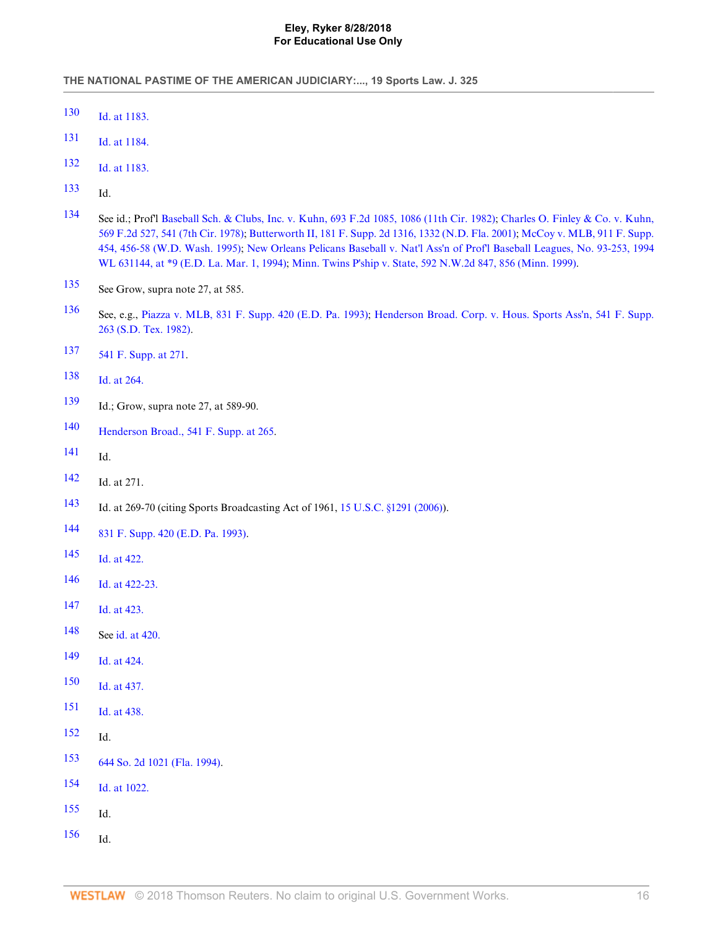- <span id="page-16-0"></span>[Id. at 1183.](http://www.westlaw.com/Link/Document/FullText?findType=Y&serNum=2003378720&originatingDoc=Ia578475082da11e18b05fdf15589d8e8&refType=RP&originationContext=document&vr=3.0&rs=cblt1.0&transitionType=DocumentItem&contextData=(sc.Search))
- <span id="page-16-1"></span>[Id. at 1184.](http://www.westlaw.com/Link/Document/FullText?findType=Y&serNum=2003378720&originatingDoc=Ia578475082da11e18b05fdf15589d8e8&refType=RP&originationContext=document&vr=3.0&rs=cblt1.0&transitionType=DocumentItem&contextData=(sc.Search))
- <span id="page-16-2"></span>[Id. at 1183.](http://www.westlaw.com/Link/Document/FullText?findType=Y&serNum=2003378720&originatingDoc=Ia578475082da11e18b05fdf15589d8e8&refType=RP&originationContext=document&vr=3.0&rs=cblt1.0&transitionType=DocumentItem&contextData=(sc.Search))
- <span id="page-16-3"></span>Id.
- <span id="page-16-4"></span> See id.; Prof'l [Baseball Sch. & Clubs, Inc. v. Kuhn, 693 F.2d 1085, 1086 \(11th Cir. 1982\);](http://www.westlaw.com/Link/Document/FullText?findType=Y&serNum=1982151219&pubNum=350&originatingDoc=Ia578475082da11e18b05fdf15589d8e8&refType=RP&fi=co_pp_sp_350_1086&originationContext=document&vr=3.0&rs=cblt1.0&transitionType=DocumentItem&contextData=(sc.Search)#co_pp_sp_350_1086) [Charles O. Finley & Co. v. Kuhn,](http://www.westlaw.com/Link/Document/FullText?findType=Y&serNum=1978102377&pubNum=350&originatingDoc=Ia578475082da11e18b05fdf15589d8e8&refType=RP&fi=co_pp_sp_350_541&originationContext=document&vr=3.0&rs=cblt1.0&transitionType=DocumentItem&contextData=(sc.Search)#co_pp_sp_350_541) [569 F.2d 527, 541 \(7th Cir. 1978\)](http://www.westlaw.com/Link/Document/FullText?findType=Y&serNum=1978102377&pubNum=350&originatingDoc=Ia578475082da11e18b05fdf15589d8e8&refType=RP&fi=co_pp_sp_350_541&originationContext=document&vr=3.0&rs=cblt1.0&transitionType=DocumentItem&contextData=(sc.Search)#co_pp_sp_350_541); [Butterworth II, 181 F. Supp. 2d 1316, 1332 \(N.D. Fla. 2001\)](http://www.westlaw.com/Link/Document/FullText?findType=Y&serNum=2002051123&pubNum=4637&originatingDoc=Ia578475082da11e18b05fdf15589d8e8&refType=RP&fi=co_pp_sp_4637_1332&originationContext=document&vr=3.0&rs=cblt1.0&transitionType=DocumentItem&contextData=(sc.Search)#co_pp_sp_4637_1332); [McCoy v. MLB, 911 F. Supp.](http://www.westlaw.com/Link/Document/FullText?findType=Y&serNum=1996034070&pubNum=345&originatingDoc=Ia578475082da11e18b05fdf15589d8e8&refType=RP&fi=co_pp_sp_345_456&originationContext=document&vr=3.0&rs=cblt1.0&transitionType=DocumentItem&contextData=(sc.Search)#co_pp_sp_345_456) [454, 456-58 \(W.D. Wash. 1995\);](http://www.westlaw.com/Link/Document/FullText?findType=Y&serNum=1996034070&pubNum=345&originatingDoc=Ia578475082da11e18b05fdf15589d8e8&refType=RP&fi=co_pp_sp_345_456&originationContext=document&vr=3.0&rs=cblt1.0&transitionType=DocumentItem&contextData=(sc.Search)#co_pp_sp_345_456) [New Orleans Pelicans Baseball v. Nat'l Ass'n of Prof'l Baseball Leagues, No. 93-253, 1994](http://www.westlaw.com/Link/Document/FullText?findType=Y&serNum=1994226847&pubNum=0000999&originatingDoc=Ia578475082da11e18b05fdf15589d8e8&refType=RP&originationContext=document&vr=3.0&rs=cblt1.0&transitionType=DocumentItem&contextData=(sc.Search)) [WL 631144, at \\*9 \(E.D. La. Mar. 1, 1994\)](http://www.westlaw.com/Link/Document/FullText?findType=Y&serNum=1994226847&pubNum=0000999&originatingDoc=Ia578475082da11e18b05fdf15589d8e8&refType=RP&originationContext=document&vr=3.0&rs=cblt1.0&transitionType=DocumentItem&contextData=(sc.Search)); [Minn. Twins P'ship v. State, 592 N.W.2d 847, 856 \(Minn. 1999\).](http://www.westlaw.com/Link/Document/FullText?findType=Y&serNum=1999112306&pubNum=595&originatingDoc=Ia578475082da11e18b05fdf15589d8e8&refType=RP&fi=co_pp_sp_595_856&originationContext=document&vr=3.0&rs=cblt1.0&transitionType=DocumentItem&contextData=(sc.Search)#co_pp_sp_595_856)
- <span id="page-16-5"></span>See Grow, supra note 27, at 585.
- <span id="page-16-6"></span> See, e.g., [Piazza v. MLB, 831 F. Supp. 420 \(E.D. Pa. 1993\)](http://www.westlaw.com/Link/Document/FullText?findType=Y&serNum=1993168885&pubNum=345&originatingDoc=Ia578475082da11e18b05fdf15589d8e8&refType=RP&originationContext=document&vr=3.0&rs=cblt1.0&transitionType=DocumentItem&contextData=(sc.Search)); [Henderson Broad. Corp. v. Hous. Sports Ass'n, 541 F. Supp.](http://www.westlaw.com/Link/Document/FullText?findType=Y&serNum=1982126986&pubNum=345&originatingDoc=Ia578475082da11e18b05fdf15589d8e8&refType=RP&originationContext=document&vr=3.0&rs=cblt1.0&transitionType=DocumentItem&contextData=(sc.Search)) [263 \(S.D. Tex. 1982\)](http://www.westlaw.com/Link/Document/FullText?findType=Y&serNum=1982126986&pubNum=345&originatingDoc=Ia578475082da11e18b05fdf15589d8e8&refType=RP&originationContext=document&vr=3.0&rs=cblt1.0&transitionType=DocumentItem&contextData=(sc.Search)).
- <span id="page-16-7"></span>[541 F. Supp. at 271](http://www.westlaw.com/Link/Document/FullText?findType=Y&serNum=1982126986&pubNum=345&originatingDoc=Ia578475082da11e18b05fdf15589d8e8&refType=RP&fi=co_pp_sp_345_271&originationContext=document&vr=3.0&rs=cblt1.0&transitionType=DocumentItem&contextData=(sc.Search)#co_pp_sp_345_271).
- <span id="page-16-8"></span>[Id. at 264.](http://www.westlaw.com/Link/Document/FullText?findType=Y&serNum=1982126986&originatingDoc=Ia578475082da11e18b05fdf15589d8e8&refType=RP&originationContext=document&vr=3.0&rs=cblt1.0&transitionType=DocumentItem&contextData=(sc.Search))
- <span id="page-16-9"></span>Id.; Grow, supra note 27, at 589-90.
- <span id="page-16-10"></span>[Henderson Broad., 541 F. Supp. at 265.](http://www.westlaw.com/Link/Document/FullText?findType=Y&serNum=1982126986&pubNum=345&originatingDoc=Ia578475082da11e18b05fdf15589d8e8&refType=RP&fi=co_pp_sp_345_265&originationContext=document&vr=3.0&rs=cblt1.0&transitionType=DocumentItem&contextData=(sc.Search)#co_pp_sp_345_265)
- <span id="page-16-11"></span>Id.
- <span id="page-16-12"></span>Id. at 271.
- <span id="page-16-13"></span>Id. at 269-70 (citing Sports Broadcasting Act of 1961, [15 U.S.C. §1291 \(2006\)\)](http://www.westlaw.com/Link/Document/FullText?findType=L&pubNum=1000546&cite=15USCAS1291&originatingDoc=Ia578475082da11e18b05fdf15589d8e8&refType=LQ&originationContext=document&vr=3.0&rs=cblt1.0&transitionType=DocumentItem&contextData=(sc.Search)).
- <span id="page-16-14"></span>[831 F. Supp. 420 \(E.D. Pa. 1993\).](http://www.westlaw.com/Link/Document/FullText?findType=Y&serNum=1993168885&pubNum=345&originatingDoc=Ia578475082da11e18b05fdf15589d8e8&refType=RP&originationContext=document&vr=3.0&rs=cblt1.0&transitionType=DocumentItem&contextData=(sc.Search))
- <span id="page-16-15"></span>[Id. at 422.](http://www.westlaw.com/Link/Document/FullText?findType=Y&serNum=1993168885&originatingDoc=Ia578475082da11e18b05fdf15589d8e8&refType=RP&originationContext=document&vr=3.0&rs=cblt1.0&transitionType=DocumentItem&contextData=(sc.Search))
- <span id="page-16-16"></span>[Id. at 422-23.](http://www.westlaw.com/Link/Document/FullText?findType=Y&serNum=1993168885&originatingDoc=Ia578475082da11e18b05fdf15589d8e8&refType=RP&originationContext=document&vr=3.0&rs=cblt1.0&transitionType=DocumentItem&contextData=(sc.Search))
- <span id="page-16-17"></span>[Id. at 423.](http://www.westlaw.com/Link/Document/FullText?findType=Y&serNum=1993168885&originatingDoc=Ia578475082da11e18b05fdf15589d8e8&refType=RP&originationContext=document&vr=3.0&rs=cblt1.0&transitionType=DocumentItem&contextData=(sc.Search))
- <span id="page-16-18"></span>See [id. at 420.](http://www.westlaw.com/Link/Document/FullText?findType=Y&serNum=1993168885&originatingDoc=Ia578475082da11e18b05fdf15589d8e8&refType=RP&originationContext=document&vr=3.0&rs=cblt1.0&transitionType=DocumentItem&contextData=(sc.Search))
- <span id="page-16-19"></span>[Id. at 424.](http://www.westlaw.com/Link/Document/FullText?findType=Y&serNum=1993168885&originatingDoc=Ia578475082da11e18b05fdf15589d8e8&refType=RP&originationContext=document&vr=3.0&rs=cblt1.0&transitionType=DocumentItem&contextData=(sc.Search))
- <span id="page-16-20"></span>[Id. at 437.](http://www.westlaw.com/Link/Document/FullText?findType=Y&serNum=1993168885&originatingDoc=Ia578475082da11e18b05fdf15589d8e8&refType=RP&originationContext=document&vr=3.0&rs=cblt1.0&transitionType=DocumentItem&contextData=(sc.Search))
- <span id="page-16-21"></span>[Id. at 438.](http://www.westlaw.com/Link/Document/FullText?findType=Y&serNum=1993168885&originatingDoc=Ia578475082da11e18b05fdf15589d8e8&refType=RP&originationContext=document&vr=3.0&rs=cblt1.0&transitionType=DocumentItem&contextData=(sc.Search))
- <span id="page-16-22"></span>Id.
- <span id="page-16-23"></span>[644 So. 2d 1021 \(Fla. 1994\).](http://www.westlaw.com/Link/Document/FullText?findType=Y&serNum=1994200436&pubNum=735&originatingDoc=Ia578475082da11e18b05fdf15589d8e8&refType=RP&originationContext=document&vr=3.0&rs=cblt1.0&transitionType=DocumentItem&contextData=(sc.Search))
- <span id="page-16-24"></span>[Id. at 1022.](http://www.westlaw.com/Link/Document/FullText?findType=Y&serNum=1994200436&originatingDoc=Ia578475082da11e18b05fdf15589d8e8&refType=RP&originationContext=document&vr=3.0&rs=cblt1.0&transitionType=DocumentItem&contextData=(sc.Search))
- <span id="page-16-25"></span>Id.
- <span id="page-16-26"></span>Id.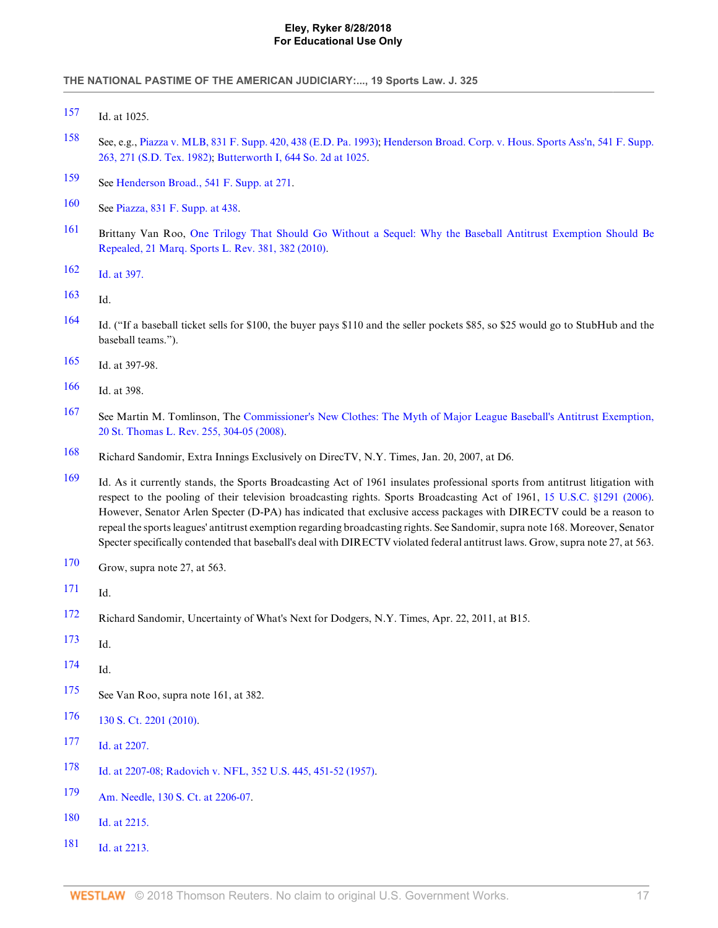- <span id="page-17-0"></span>Id. at 1025.
- <span id="page-17-1"></span> See, e.g., [Piazza v. MLB, 831 F. Supp. 420, 438 \(E.D. Pa. 1993\);](http://www.westlaw.com/Link/Document/FullText?findType=Y&serNum=1993168885&pubNum=345&originatingDoc=Ia578475082da11e18b05fdf15589d8e8&refType=RP&fi=co_pp_sp_345_438&originationContext=document&vr=3.0&rs=cblt1.0&transitionType=DocumentItem&contextData=(sc.Search)#co_pp_sp_345_438) [Henderson Broad. Corp. v. Hous. Sports Ass'n, 541 F. Supp.](http://www.westlaw.com/Link/Document/FullText?findType=Y&serNum=1982126986&pubNum=345&originatingDoc=Ia578475082da11e18b05fdf15589d8e8&refType=RP&fi=co_pp_sp_345_271&originationContext=document&vr=3.0&rs=cblt1.0&transitionType=DocumentItem&contextData=(sc.Search)#co_pp_sp_345_271) [263, 271 \(S.D. Tex. 1982\);](http://www.westlaw.com/Link/Document/FullText?findType=Y&serNum=1982126986&pubNum=345&originatingDoc=Ia578475082da11e18b05fdf15589d8e8&refType=RP&fi=co_pp_sp_345_271&originationContext=document&vr=3.0&rs=cblt1.0&transitionType=DocumentItem&contextData=(sc.Search)#co_pp_sp_345_271) [Butterworth I, 644 So. 2d at 1025.](http://www.westlaw.com/Link/Document/FullText?findType=Y&serNum=1994200436&pubNum=735&originatingDoc=Ia578475082da11e18b05fdf15589d8e8&refType=RP&fi=co_pp_sp_735_1025&originationContext=document&vr=3.0&rs=cblt1.0&transitionType=DocumentItem&contextData=(sc.Search)#co_pp_sp_735_1025)
- <span id="page-17-2"></span>See [Henderson Broad., 541 F. Supp. at 271.](http://www.westlaw.com/Link/Document/FullText?findType=Y&serNum=1982126986&pubNum=345&originatingDoc=Ia578475082da11e18b05fdf15589d8e8&refType=RP&fi=co_pp_sp_345_271&originationContext=document&vr=3.0&rs=cblt1.0&transitionType=DocumentItem&contextData=(sc.Search)#co_pp_sp_345_271)
- <span id="page-17-3"></span>See [Piazza, 831 F. Supp. at 438.](http://www.westlaw.com/Link/Document/FullText?findType=Y&serNum=1993168885&pubNum=345&originatingDoc=Ia578475082da11e18b05fdf15589d8e8&refType=RP&fi=co_pp_sp_345_438&originationContext=document&vr=3.0&rs=cblt1.0&transitionType=DocumentItem&contextData=(sc.Search)#co_pp_sp_345_438)
- <span id="page-17-4"></span> Brittany Van Roo, [One Trilogy That Should Go Without a Sequel: Why the Baseball Antitrust Exemption Should Be](http://www.westlaw.com/Link/Document/FullText?findType=Y&serNum=0358877697&pubNum=135285&originatingDoc=Ia578475082da11e18b05fdf15589d8e8&refType=LR&fi=co_pp_sp_135285_382&originationContext=document&vr=3.0&rs=cblt1.0&transitionType=DocumentItem&contextData=(sc.Search)#co_pp_sp_135285_382) [Repealed, 21 Marq. Sports L. Rev. 381, 382 \(2010\).](http://www.westlaw.com/Link/Document/FullText?findType=Y&serNum=0358877697&pubNum=135285&originatingDoc=Ia578475082da11e18b05fdf15589d8e8&refType=LR&fi=co_pp_sp_135285_382&originationContext=document&vr=3.0&rs=cblt1.0&transitionType=DocumentItem&contextData=(sc.Search)#co_pp_sp_135285_382)
- <span id="page-17-5"></span>[Id. at 397.](http://www.westlaw.com/Link/Document/FullText?findType=Y&serNum=0358877697&originatingDoc=Ia578475082da11e18b05fdf15589d8e8&refType=LR&originationContext=document&vr=3.0&rs=cblt1.0&transitionType=DocumentItem&contextData=(sc.Search))
- <span id="page-17-6"></span>Id.
- <span id="page-17-7"></span> Id. ("If a baseball ticket sells for \$100, the buyer pays \$110 and the seller pockets \$85, so \$25 would go to StubHub and the baseball teams.").
- <span id="page-17-8"></span>Id. at 397-98.
- <span id="page-17-9"></span>Id. at 398.
- <span id="page-17-10"></span> See Martin M. Tomlinson, The [Commissioner's New Clothes: The Myth of Major League Baseball's Antitrust Exemption,](http://www.westlaw.com/Link/Document/FullText?findType=Y&serNum=0338786242&pubNum=101882&originatingDoc=Ia578475082da11e18b05fdf15589d8e8&refType=LR&fi=co_pp_sp_101882_304&originationContext=document&vr=3.0&rs=cblt1.0&transitionType=DocumentItem&contextData=(sc.Search)#co_pp_sp_101882_304) [20 St. Thomas L. Rev. 255, 304-05 \(2008\)](http://www.westlaw.com/Link/Document/FullText?findType=Y&serNum=0338786242&pubNum=101882&originatingDoc=Ia578475082da11e18b05fdf15589d8e8&refType=LR&fi=co_pp_sp_101882_304&originationContext=document&vr=3.0&rs=cblt1.0&transitionType=DocumentItem&contextData=(sc.Search)#co_pp_sp_101882_304).
- <span id="page-17-11"></span>Richard Sandomir, Extra Innings Exclusively on DirecTV, N.Y. Times, Jan. 20, 2007, at D6.
- <span id="page-17-12"></span> Id. As it currently stands, the Sports Broadcasting Act of 1961 insulates professional sports from antitrust litigation with respect to the pooling of their television broadcasting rights. Sports Broadcasting Act of 1961, [15 U.S.C. §1291 \(2006\).](http://www.westlaw.com/Link/Document/FullText?findType=L&pubNum=1000546&cite=15USCAS1291&originatingDoc=Ia578475082da11e18b05fdf15589d8e8&refType=LQ&originationContext=document&vr=3.0&rs=cblt1.0&transitionType=DocumentItem&contextData=(sc.Search)) However, Senator Arlen Specter (D-PA) has indicated that exclusive access packages with DIRECTV could be a reason to repeal the sports leagues' antitrust exemption regarding broadcasting rights. See Sandomir, supra note 168. Moreover, Senator Specter specifically contended that baseball's deal with DIRECTV violated federal antitrust laws. Grow, supra note 27, at 563.
- <span id="page-17-13"></span>Grow, supra note 27, at 563.
- <span id="page-17-14"></span>Id.
- <span id="page-17-15"></span>Richard Sandomir, Uncertainty of What's Next for Dodgers, N.Y. Times, Apr. 22, 2011, at B15.
- <span id="page-17-16"></span>Id.
- <span id="page-17-17"></span>Id.
- <span id="page-17-18"></span>See Van Roo, supra note 161, at 382.
- <span id="page-17-19"></span>[130 S. Ct. 2201 \(2010\).](http://www.westlaw.com/Link/Document/FullText?findType=Y&serNum=2022098241&pubNum=708&originatingDoc=Ia578475082da11e18b05fdf15589d8e8&refType=RP&originationContext=document&vr=3.0&rs=cblt1.0&transitionType=DocumentItem&contextData=(sc.Search))
- <span id="page-17-20"></span>[Id. at 2207.](http://www.westlaw.com/Link/Document/FullText?findType=Y&serNum=2022098241&originatingDoc=Ia578475082da11e18b05fdf15589d8e8&refType=RP&originationContext=document&vr=3.0&rs=cblt1.0&transitionType=DocumentItem&contextData=(sc.Search))
- <span id="page-17-21"></span>[Id. at 2207-08;](http://www.westlaw.com/Link/Document/FullText?findType=Y&serNum=2022098241&originatingDoc=Ia578475082da11e18b05fdf15589d8e8&refType=RP&originationContext=document&vr=3.0&rs=cblt1.0&transitionType=DocumentItem&contextData=(sc.Search)) [Radovich v. NFL, 352 U.S. 445, 451-52 \(1957\).](http://www.westlaw.com/Link/Document/FullText?findType=Y&serNum=1957103398&pubNum=780&originatingDoc=Ia578475082da11e18b05fdf15589d8e8&refType=RP&fi=co_pp_sp_780_451&originationContext=document&vr=3.0&rs=cblt1.0&transitionType=DocumentItem&contextData=(sc.Search)#co_pp_sp_780_451)
- <span id="page-17-22"></span>[Am. Needle, 130 S. Ct. at 2206-07.](http://www.westlaw.com/Link/Document/FullText?findType=Y&serNum=2022098241&pubNum=708&originatingDoc=Ia578475082da11e18b05fdf15589d8e8&refType=RP&fi=co_pp_sp_708_2206&originationContext=document&vr=3.0&rs=cblt1.0&transitionType=DocumentItem&contextData=(sc.Search)#co_pp_sp_708_2206)
- <span id="page-17-23"></span>[Id. at 2215.](http://www.westlaw.com/Link/Document/FullText?findType=Y&serNum=2022098241&originatingDoc=Ia578475082da11e18b05fdf15589d8e8&refType=RP&originationContext=document&vr=3.0&rs=cblt1.0&transitionType=DocumentItem&contextData=(sc.Search))
- <span id="page-17-24"></span>[Id. at 2213.](http://www.westlaw.com/Link/Document/FullText?findType=Y&serNum=2022098241&originatingDoc=Ia578475082da11e18b05fdf15589d8e8&refType=RP&originationContext=document&vr=3.0&rs=cblt1.0&transitionType=DocumentItem&contextData=(sc.Search))